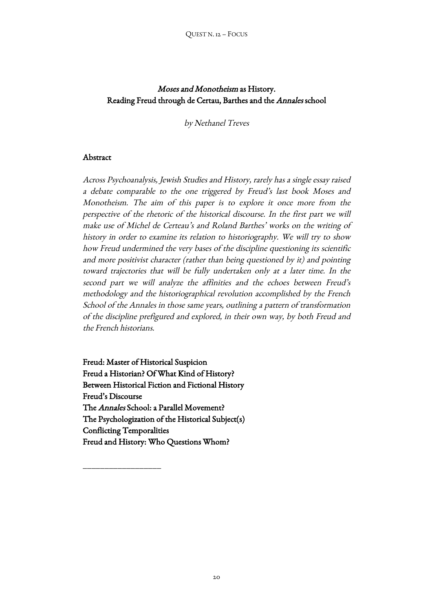# Moses and Monotheism as History. Reading Freud through de Certau, Barthes and the Annales school

by Nethanel Treves

# Abstract

Across Psychoanalysis, Jewish Studies and History, rarely has a single essay raised a debate comparable to the one triggered by Freud's last book Moses and Monotheism. The aim of this paper is to explore it once more from the perspective of the rhetoric of the historical discourse. In the first part we will make use of Michel de Certeau's and Roland Barthes' works on the writing of history in order to examine its relation to historiography. We will try to show how Freud undermined the very bases of the discipline questioning its scientific and more positivist character (rather than being questioned by it) and pointing toward trajectories that will be fully undertaken only at a later time. In the second part we will analyze the affinities and the echoes between Freud's methodology and the historiographical revolution accomplished by the French School of the Annales in those same years, outlining a pattern of transformation of the discipline prefigured and explored, in their own way, by both Freud and the French historians.

Freud: Master of Historical Suspicion Freud a Historian? Of What Kind of History? Between Historical Fiction and Fictional History Freud's Discourse The Annales School: a Parallel Movement? The Psychologization of the Historical Subject(s) Conflicting Temporalities Freud and History: Who Questions Whom?

 $\overline{\phantom{a}}$  , where the contract of the contract of the contract of the contract of the contract of the contract of the contract of the contract of the contract of the contract of the contract of the contract of the contr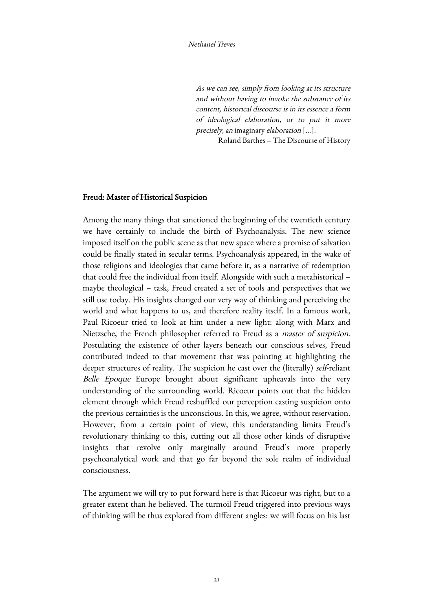As we can see, simply from looking at its structure and without having to invoke the substance of its content, historical discourse is in its essence a form of ideological elaboration, or to put it more precisely, an imaginary elaboration […].

Roland Barthes – The Discourse of History

## Freud: Master of Historical Suspicion

Among the many things that sanctioned the beginning of the twentieth century we have certainly to include the birth of Psychoanalysis. The new science imposed itself on the public scene as that new space where a promise of salvation could be finally stated in secular terms. Psychoanalysis appeared, in the wake of those religions and ideologies that came before it, as a narrative of redemption that could free the individual from itself. Alongside with such a metahistorical – maybe theological – task, Freud created a set of tools and perspectives that we still use today. His insights changed our very way of thinking and perceiving the world and what happens to us, and therefore reality itself. In a famous work, Paul Ricoeur tried to look at him under a new light: along with Marx and Nietzsche, the French philosopher referred to Freud as a master of suspicion. Postulating the existence of other layers beneath our conscious selves, Freud contributed indeed to that movement that was pointing at highlighting the deeper structures of reality. The suspicion he cast over the (literally) self-reliant Belle Epoque Europe brought about significant upheavals into the very understanding of the surrounding world. Ricoeur points out that the hidden element through which Freud reshuffled our perception casting suspicion onto the previous certainties is the unconscious. In this, we agree, without reservation. However, from a certain point of view, this understanding limits Freud's revolutionary thinking to this, cutting out all those other kinds of disruptive insights that revolve only marginally around Freud's more properly psychoanalytical work and that go far beyond the sole realm of individual consciousness.

The argument we will try to put forward here is that Ricoeur was right, but to a greater extent than he believed. The turmoil Freud triggered into previous ways of thinking will be thus explored from different angles: we will focus on his last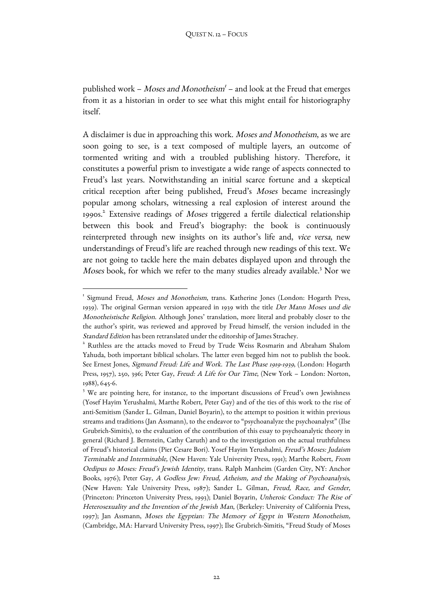published work – Moses and Monotheism<sup>1</sup> – and look at the Freud that emerges from it as a historian in order to see what this might entail for historiography itself.

A disclaimer is due in approaching this work. Moses and Monotheism, as we are soon going to see, is a text composed of multiple layers, an outcome of tormented writing and with a troubled publishing history. Therefore, it constitutes a powerful prism to investigate a wide range of aspects connected to Freud's last years. Notwithstanding an initial scarce fortune and a skeptical critical reception after being published, Freud's Moses became increasingly popular among scholars, witnessing a real explosion of interest around the 1990s.2 Extensive readings of Moses triggered a fertile dialectical relationship between this book and Freud's biography: the book is continuously reinterpreted through new insights on its author's life and, vice versa, new understandings of Freud's life are reached through new readings of this text. We are not going to tackle here the main debates displayed upon and through the Moses book, for which we refer to the many studies already available.<sup>3</sup> Nor we

<sup>&</sup>lt;sup>1</sup> Sigmund Freud, Moses and Monotheism, trans. Katherine Jones (London: Hogarth Press, 1939). The original German version appeared in 1939 with the title Der Mann Moses und die Monotheistische Religion. Although Jones' translation, more literal and probably closer to the the author's spirit, was reviewed and approved by Freud himself, the version included in the Standard Edition has been retranslated under the editorship of James Strachey.

<sup>2</sup> Ruthless are the attacks moved to Freud by Trude Weiss Rosmarin and Abraham Shalom Yahuda, both important biblical scholars. The latter even begged him not to publish the book. See Ernest Jones, Sigmund Freud: Life and Work. The Last Phase 1919-1939, (London: Hogarth Press, 1957), 250, 396; Peter Gay, Freud: A Life for Our Time, (New York - London: Norton, 1988), 645-6.

<sup>&</sup>lt;sup>3</sup> We are pointing here, for instance, to the important discussions of Freud's own Jewishness (Yosef Hayim Yerushalmi, Marthe Robert, Peter Gay) and of the ties of this work to the rise of anti-Semitism (Sander L. Gilman, Daniel Boyarin), to the attempt to position it within previous streams and traditions (Jan Assmann), to the endeavor to "psychoanalyze the psychoanalyst" (Ilse Grubrich-Simitis), to the evaluation of the contribution of this essay to psychoanalytic theory in general (Richard J. Bernstein, Cathy Caruth) and to the investigation on the actual truthfulness of Freud's historical claims (Pier Cesare Bori). Yosef Hayim Yerushalmi, Freud's Moses: Judaism Terminable and Interminable, (New Haven: Yale University Press, 1991); Marthe Robert, From Oedipus to Moses: Freud's Jewish Identity, trans. Ralph Manheim (Garden City, NY: Anchor Books, 1976); Peter Gay, A Godless Jew: Freud, Atheism, and the Making of Psychoanalysis, (New Haven: Yale University Press, 1987); Sander L. Gilman, Freud, Race, and Gender, (Princeton: Princeton University Press, 1993); Daniel Boyarin, Unheroic Conduct: The Rise of Heterosexuality and the Invention of the Jewish Man, (Berkeley: University of California Press, 1997); Jan Assmann, Moses the Egyptian: The Memory of Egypt in Western Monotheism, (Cambridge, MA: Harvard University Press, 1997); Ilse Grubrich-Simitis, "Freud Study of Moses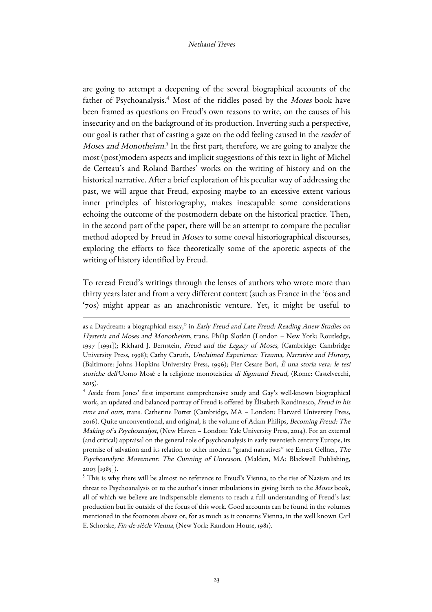are going to attempt a deepening of the several biographical accounts of the father of Psychoanalysis.<sup>4</sup> Most of the riddles posed by the Moses book have been framed as questions on Freud's own reasons to write, on the causes of his insecurity and on the background of its production. Inverting such a perspective, our goal is rather that of casting a gaze on the odd feeling caused in the reader of Moses and Monotheism.<sup>5</sup> In the first part, therefore, we are going to analyze the most (post)modern aspects and implicit suggestions of this text in light of Michel de Certeau's and Roland Barthes' works on the writing of history and on the historical narrative. After a brief exploration of his peculiar way of addressing the past, we will argue that Freud, exposing maybe to an excessive extent various inner principles of historiography, makes inescapable some considerations echoing the outcome of the postmodern debate on the historical practice. Then, in the second part of the paper, there will be an attempt to compare the peculiar method adopted by Freud in Moses to some coeval historiographical discourses, exploring the efforts to face theoretically some of the aporetic aspects of the writing of history identified by Freud.

To reread Freud's writings through the lenses of authors who wrote more than thirty years later and from a very different context (such as France in the '60s and '70s) might appear as an anachronistic venture. Yet, it might be useful to

as a Daydream: a biographical essay," in Early Freud and Late Freud: Reading Anew Studies on Hysteria and Moses and Monotheism, trans. Philip Slotkin (London – New York: Routledge, 1997 [1991]); Richard J. Bernstein, Freud and the Legacy of Moses, (Cambridge: Cambridge University Press, 1998); Cathy Caruth, Unclaimed Experience: Trauma, Narrative and History, (Baltimore: Johns Hopkins University Press, 1996); Pier Cesare Bori, È una storia vera: le tesi storiche dell'Uomo Mosè e la religione monoteistica di Sigmund Freud, (Rome: Castelvecchi, 2015).

<sup>4</sup> Aside from Jones' first important comprehensive study and Gay's well-known biographical work, an updated and balanced portray of Freud is offered by Élisabeth Roudinesco, Freud in his time and ours, trans. Catherine Porter (Cambridge, MA – London: Harvard University Press, 2016). Quite unconventional, and original, is the volume of Adam Philips, Becoming Freud: The Making of a Psychoanalyst, (New Haven – London: Yale University Press, 2014). For an external (and critical) appraisal on the general role of psychoanalysis in early twentieth century Europe, its promise of salvation and its relation to other modern "grand narratives" see Ernest Gellner, The Psychoanalytic Movement: The Cunning of Unreason, (Malden, MA: Blackwell Publishing, 2003 [1985]).

<sup>5</sup> This is why there will be almost no reference to Freud's Vienna, to the rise of Nazism and its threat to Psychoanalysis or to the author's inner tribulations in giving birth to the Moses book, all of which we believe are indispensable elements to reach a full understanding of Freud's last production but lie outside of the focus of this work. Good accounts can be found in the volumes mentioned in the footnotes above or, for as much as it concerns Vienna, in the well known Carl E. Schorske, Fin-de-siècle Vienna, (New York: Random House, 1981).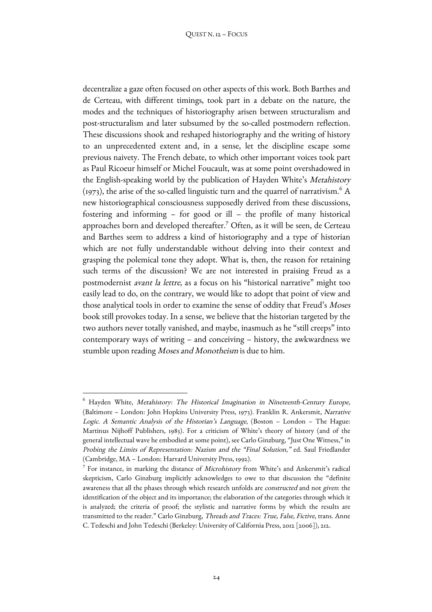decentralize a gaze often focused on other aspects of this work. Both Barthes and de Certeau, with different timings, took part in a debate on the nature, the modes and the techniques of historiography arisen between structuralism and post-structuralism and later subsumed by the so-called postmodern reflection. These discussions shook and reshaped historiography and the writing of history to an unprecedented extent and, in a sense, let the discipline escape some previous naivety. The French debate, to which other important voices took part as Paul Ricoeur himself or Michel Foucault, was at some point overshadowed in the English-speaking world by the publication of Hayden White's Metahistory  $(1973)$ , the arise of the so-called linguistic turn and the quarrel of narrativism.<sup>6</sup> A new historiographical consciousness supposedly derived from these discussions, fostering and informing – for good or ill – the profile of many historical approaches born and developed thereafter.7 Often, as it will be seen, de Certeau and Barthes seem to address a kind of historiography and a type of historian which are not fully understandable without delving into their context and grasping the polemical tone they adopt. What is, then, the reason for retaining such terms of the discussion? We are not interested in praising Freud as a postmodernist avant la lettre, as a focus on his "historical narrative" might too easily lead to do, on the contrary, we would like to adopt that point of view and those analytical tools in order to examine the sense of oddity that Freud's Moses book still provokes today. In a sense, we believe that the historian targeted by the two authors never totally vanished, and maybe, inasmuch as he "still creeps" into contemporary ways of writing – and conceiving – history, the awkwardness we stumble upon reading Moses and Monotheism is due to him.

<u> 1989 - Johann Barn, mars eta bainar eta industrial eta baina eta baina eta baina eta baina eta baina eta bain</u>

 $6$  Hayden White, Metahistory: The Historical Imagination in Nineteenth-Century Europe, (Baltimore – London: John Hopkins University Press, 1973). Franklin R. Ankersmit, Narrative Logic. A Semantic Analysis of the Historian's Language, (Boston – London – The Hague: Martinus Nijhoff Publishers, 1983). For a criticism of White's theory of history (and of the general intellectual wave he embodied at some point), see Carlo Ginzburg, "Just One Witness," in Probing the Limits of Representation: Nazism and the "Final Solution," ed. Saul Friedlander (Cambridge, MA – London: Harvard University Press, 1992).

<sup>&</sup>lt;sup>7</sup> For instance, in marking the distance of *Microhistory* from White's and Ankersmit's radical skepticism, Carlo Ginzburg implicitly acknowledges to owe to that discussion the "definite awareness that all the phases through which research unfolds are constructed and not given: the identification of the object and its importance; the elaboration of the categories through which it is analyzed; the criteria of proof; the stylistic and narrative forms by which the results are transmitted to the reader." Carlo Ginzburg, Threads and Traces: True, False, Fictive, trans. Anne C. Tedeschi and John Tedeschi (Berkeley: University of California Press, 2012 [2006]), 212.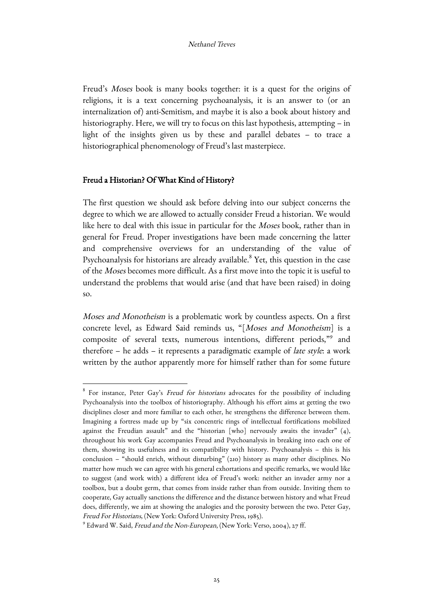Freud's Moses book is many books together: it is a quest for the origins of religions, it is a text concerning psychoanalysis, it is an answer to (or an internalization of) anti-Semitism, and maybe it is also a book about history and historiography. Here, we will try to focus on this last hypothesis, attempting – in light of the insights given us by these and parallel debates – to trace a historiographical phenomenology of Freud's last masterpiece.

# Freud a Historian? Of What Kind of History?

<u> 1989 - Johann Barn, mars ann an t-Amhain an t-Amhain an t-Amhain an t-Amhain an t-Amhain an t-Amhain an t-Amh</u>

The first question we should ask before delving into our subject concerns the degree to which we are allowed to actually consider Freud a historian. We would like here to deal with this issue in particular for the Moses book, rather than in general for Freud. Proper investigations have been made concerning the latter and comprehensive overviews for an understanding of the value of Psychoanalysis for historians are already available.<sup>8</sup> Yet, this question in the case of the Moses becomes more difficult. As a first move into the topic it is useful to understand the problems that would arise (and that have been raised) in doing so.

Moses and Monotheism is a problematic work by countless aspects. On a first concrete level, as Edward Said reminds us, "[Moses and Monotheism] is a composite of several texts, numerous intentions, different periods,"9 and therefore – he adds – it represents a paradigmatic example of late style: a work written by the author apparently more for himself rather than for some future

<sup>&</sup>lt;sup>8</sup> For instance, Peter Gay's Freud for historians advocates for the possibility of including Psychoanalysis into the toolbox of historiography. Although his effort aims at getting the two disciplines closer and more familiar to each other, he strengthens the difference between them. Imagining a fortress made up by "six concentric rings of intellectual fortifications mobilized against the Freudian assault" and the "historian [who] nervously awaits the invader"  $(4)$ , throughout his work Gay accompanies Freud and Psychoanalysis in breaking into each one of them, showing its usefulness and its compatibility with history. Psychoanalysis – this is his conclusion – "should enrich, without disturbing" (210) history as many other disciplines. No matter how much we can agree with his general exhortations and specific remarks, we would like to suggest (and work with) a different idea of Freud's work: neither an invader army nor a toolbox, but a doubt germ, that comes from inside rather than from outside. Inviting them to cooperate, Gay actually sanctions the difference and the distance between history and what Freud does, differently, we aim at showing the analogies and the porosity between the two. Peter Gay, Freud For Historians, (New York: Oxford University Press, 1985).

<sup>&</sup>lt;sup>9</sup> Edward W. Said, Freud and the Non-European, (New York: Verso, 2004), 27 ff.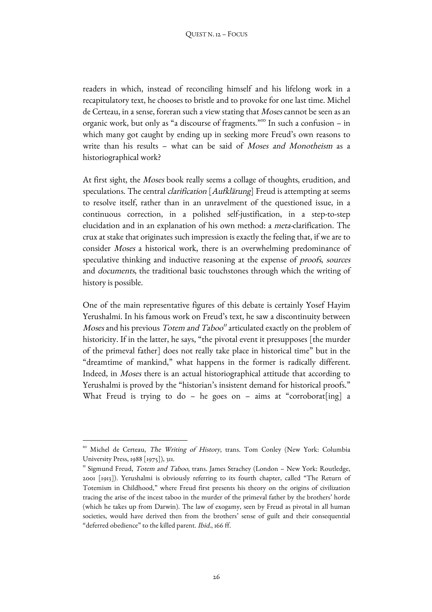readers in which, instead of reconciling himself and his lifelong work in a recapitulatory text, he chooses to bristle and to provoke for one last time. Michel de Certeau, in a sense, foreran such a view stating that Moses cannot be seen as an organic work, but only as "a discourse of fragments."<sup>10</sup> In such a confusion – in which many got caught by ending up in seeking more Freud's own reasons to write than his results – what can be said of Moses and Monotheism as a historiographical work?

At first sight, the Moses book really seems a collage of thoughts, erudition, and speculations. The central *clarification* [Aufklärung] Freud is attempting at seems to resolve itself, rather than in an unravelment of the questioned issue, in a continuous correction, in a polished self-justification, in a step-to-step elucidation and in an explanation of his own method: a meta-clarification. The crux at stake that originates such impression is exactly the feeling that, if we are to consider Moses a historical work, there is an overwhelming predominance of speculative thinking and inductive reasoning at the expense of proofs, sources and documents, the traditional basic touchstones through which the writing of history is possible.

One of the main representative figures of this debate is certainly Yosef Hayim Yerushalmi. In his famous work on Freud's text, he saw a discontinuity between *Moses* and his previous *Totem and Taboo*<sup> $\pi$ </sup> articulated exactly on the problem of historicity. If in the latter, he says, "the pivotal event it presupposes [the murder of the primeval father] does not really take place in historical time" but in the "dreamtime of mankind," what happens in the former is radically different. Indeed, in Moses there is an actual historiographical attitude that according to Yerushalmi is proved by the "historian's insistent demand for historical proofs." What Freud is trying to do - he goes on - aims at "corroborat[ing] a

 

<sup>&</sup>lt;sup>10</sup> Michel de Certeau, *The Writing of History*, trans. Tom Conley (New York: Columbia University Press, 1988 [1975]), 311.

 $\text{I}^{\text{II}}$  Sigmund Freud, *Totem and Taboo*, trans. James Strachey (London – New York: Routledge, 2001 [1913]). Yerushalmi is obviously referring to its fourth chapter, called "The Return of Totemism in Childhood," where Freud first presents his theory on the origins of civilization tracing the arise of the incest taboo in the murder of the primeval father by the brothers' horde (which he takes up from Darwin). The law of exogamy, seen by Freud as pivotal in all human societies, would have derived then from the brothers' sense of guilt and their consequential "deferred obedience" to the killed parent. Ibid., 166 ff.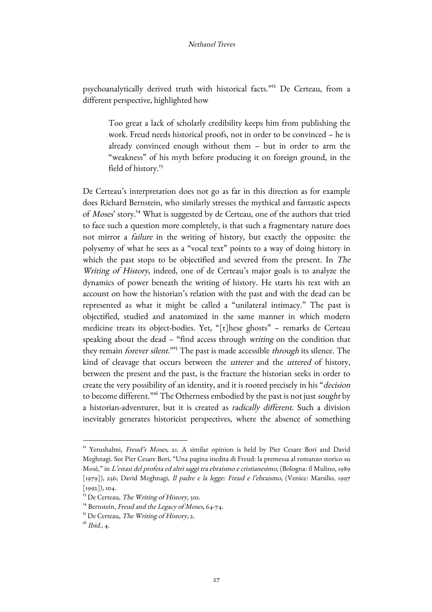psychoanalytically derived truth with historical facts."<sup>12</sup> De Certeau, from a different perspective, highlighted how

Too great a lack of scholarly credibility keeps him from publishing the work. Freud needs historical proofs, not in order to be convinced – he is already convinced enough without them – but in order to arm the "weakness" of his myth before producing it on foreign ground, in the field of history.<sup>13</sup>

De Certeau's interpretation does not go as far in this direction as for example does Richard Bernstein, who similarly stresses the mythical and fantastic aspects of Moses' story.14 What is suggested by de Certeau, one of the authors that tried to face such a question more completely, is that such a fragmentary nature does not mirror a failure in the writing of history, but exactly the opposite: the polysemy of what he sees as a "vocal text" points to a way of doing history in which the past stops to be objectified and severed from the present. In The Writing of History, indeed, one of de Certeau's major goals is to analyze the dynamics of power beneath the writing of history. He starts his text with an account on how the historian's relation with the past and with the dead can be represented as what it might be called a "unilateral intimacy." The past is objectified, studied and anatomized in the same manner in which modern medicine treats its object-bodies. Yet, "[t]hese ghosts" – remarks de Certeau speaking about the dead – "find access through writing on the condition that they remain *forever silent*."<sup>15</sup> The past is made accessible *through* its silence. The kind of cleavage that occurs between the utterer and the uttered of history, between the present and the past, is the fracture the historian seeks in order to create the very possibility of an identity, and it is rooted precisely in his "decision to become different.<sup>"16</sup> The Otherness embodied by the past is not just sought by a historian-adventurer, but it is created as radically different. Such a division inevitably generates historicist perspectives, where the absence of something

 

<sup>&</sup>lt;sup>12</sup> Yerushalmi, Freud's Moses, 21. A similar opinion is held by Pier Cesare Bori and David Meghnagi. See Pier Cesare Bori, "Una pagina inedita di Freud: la premessa al romanzo storico su Mosè," in L'estasi del profeta ed altri saggi tra ebraismo e cristianesimo, (Bologna: il Mulino, 1989 [1979]), 256; David Meghnagi, Il padre e la legge: Freud e l'ebraismo, (Venice: Marsilio, 1997 [1992]), 104.

<sup>&</sup>lt;sup>13</sup> De Certeau, *The Writing of History*, 310.<br><sup>14</sup> Bernstein, *Freud and the Legacy of Moses*, 64-74.<br><sup>15</sup> De Certeau, *The Writing of History*, 2.

 $16$  Ibid., 4.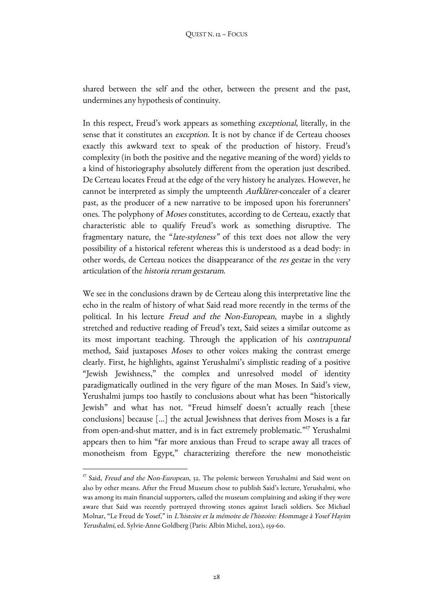shared between the self and the other, between the present and the past, undermines any hypothesis of continuity.

In this respect, Freud's work appears as something exceptional, literally, in the sense that it constitutes an *exception*. It is not by chance if de Certeau chooses exactly this awkward text to speak of the production of history. Freud's complexity (in both the positive and the negative meaning of the word) yields to a kind of historiography absolutely different from the operation just described. De Certeau locates Freud at the edge of the very history he analyzes. However, he cannot be interpreted as simply the umpteenth Aufklärer-concealer of a clearer past, as the producer of a new narrative to be imposed upon his forerunners' ones. The polyphony of Moses constitutes, according to de Certeau, exactly that characteristic able to qualify Freud's work as something disruptive. The fragmentary nature, the "late-styleness" of this text does not allow the very possibility of a historical referent whereas this is understood as a dead body: in other words, de Certeau notices the disappearance of the res gestae in the very articulation of the historia rerum gestarum.

We see in the conclusions drawn by de Certeau along this interpretative line the echo in the realm of history of what Said read more recently in the terms of the political. In his lecture Freud and the Non-European, maybe in a slightly stretched and reductive reading of Freud's text, Said seizes a similar outcome as its most important teaching. Through the application of his contrapuntal method, Said juxtaposes Moses to other voices making the contrast emerge clearly. First, he highlights, against Yerushalmi's simplistic reading of a positive "Jewish Jewishness," the complex and unresolved model of identity paradigmatically outlined in the very figure of the man Moses. In Said's view, Yerushalmi jumps too hastily to conclusions about what has been "historically Jewish" and what has not. "Freud himself doesn't actually reach [these conclusions] because […] the actual Jewishness that derives from Moses is a far from open-and-shut matter, and is in fact extremely problematic."<sup>17</sup> Yerushalmi appears then to him "far more anxious than Freud to scrape away all traces of monotheism from Egypt," characterizing therefore the new monotheistic

<sup>&</sup>lt;sup>17</sup> Said, Freud and the Non-European, 32. The polemic between Yerushalmi and Said went on also by other means. After the Freud Museum chose to publish Said's lecture, Yerushalmi, who was among its main financial supporters, called the museum complaining and asking if they were aware that Said was recently portrayed throwing stones against Israeli soldiers. See Michael Molnar, "Le Freud de Yosef," in L'histoire et la mémoire de l'histoire: Hommage à Yosef Hayim Yerushalmi, ed. Sylvie-Anne Goldberg (Paris: Albin Michel, 2012), 159-60.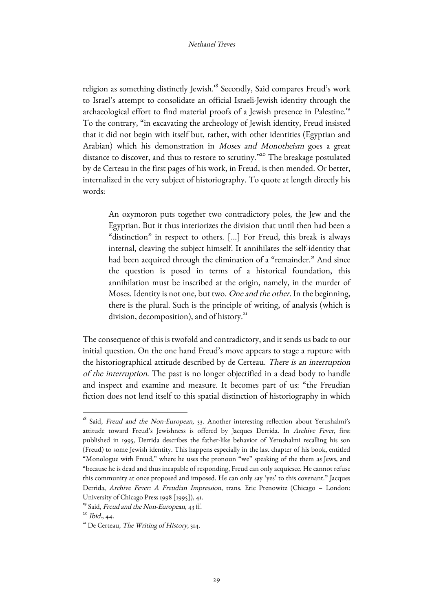religion as something distinctly Jewish.<sup>18</sup> Secondly, Said compares Freud's work to Israel's attempt to consolidate an official Israeli-Jewish identity through the archaeological effort to find material proofs of a Jewish presence in Palestine.<sup>19</sup> To the contrary, "in excavating the archeology of Jewish identity, Freud insisted that it did not begin with itself but, rather, with other identities (Egyptian and Arabian) which his demonstration in Moses and Monotheism goes a great distance to discover, and thus to restore to scrutiny.<sup>"20</sup> The breakage postulated by de Certeau in the first pages of his work, in Freud, is then mended. Or better, internalized in the very subject of historiography. To quote at length directly his words:

An oxymoron puts together two contradictory poles, the Jew and the Egyptian. But it thus interiorizes the division that until then had been a "distinction" in respect to others. [...] For Freud, this break is always internal, cleaving the subject himself. It annihilates the self-identity that had been acquired through the elimination of a "remainder." And since the question is posed in terms of a historical foundation, this annihilation must be inscribed at the origin, namely, in the murder of Moses. Identity is not one, but two. One and the other. In the beginning, there is the plural. Such is the principle of writing, of analysis (which is division, decomposition), and of history.<sup>21</sup>

The consequence of this is twofold and contradictory, and it sends us back to our initial question. On the one hand Freud's move appears to stage a rupture with the historiographical attitude described by de Certeau. There is an interruption of the interruption. The past is no longer objectified in a dead body to handle and inspect and examine and measure. It becomes part of us: "the Freudian fiction does not lend itself to this spatial distinction of historiography in which

<sup>&</sup>lt;sup>18</sup> Said, Freud and the Non-European, 33. Another interesting reflection about Yerushalmi's attitude toward Freud's Jewishness is offered by Jacques Derrida. In Archive Fever, first published in 1995, Derrida describes the father-like behavior of Yerushalmi recalling his son (Freud) to some Jewish identity. This happens especially in the last chapter of his book, entitled "Monologue with Freud," where he uses the pronoun "we" speaking of the them as Jews, and "because he is dead and thus incapable of responding, Freud can only acquiesce. He cannot refuse this community at once proposed and imposed. He can only say 'yes' to this covenant." Jacques Derrida, Archive Fever: A Freudian Impression, trans. Eric Prenowitz (Chicago – London: University of Chicago Press 1998 [1995]), 41.

<sup>&</sup>lt;sup>19</sup> Said, *Freud and the Non-European*, 43 ff.<br><sup>20</sup> *Ibid.*, 44.

<sup>&</sup>lt;sup>21</sup> De Certeau, The Writing of History, 314.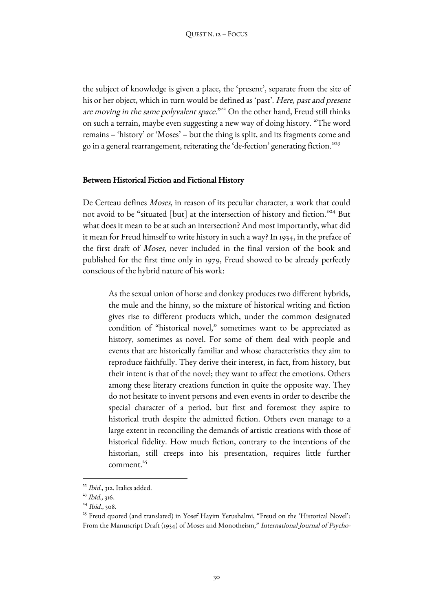the subject of knowledge is given a place, the 'present', separate from the site of his or her object, which in turn would be defined as 'past'. Here, past and present are moving in the same polyvalent space."<sup>22</sup> On the other hand, Freud still thinks on such a terrain, maybe even suggesting a new way of doing history. "The word remains – 'history' or 'Moses' – but the thing is split, and its fragments come and go in a general rearrangement, reiterating the 'de-fection' generating fiction."<sup>23</sup>

# Between Historical Fiction and Fictional History

De Certeau defines Moses, in reason of its peculiar character, a work that could not avoid to be "situated [but] at the intersection of history and fiction."<sup>24</sup> But what does it mean to be at such an intersection? And most importantly, what did it mean for Freud himself to write history in such a way? In 1934, in the preface of the first draft of Moses, never included in the final version of the book and published for the first time only in 1979, Freud showed to be already perfectly conscious of the hybrid nature of his work:

As the sexual union of horse and donkey produces two different hybrids, the mule and the hinny, so the mixture of historical writing and fiction gives rise to different products which, under the common designated condition of "historical novel," sometimes want to be appreciated as history, sometimes as novel. For some of them deal with people and events that are historically familiar and whose characteristics they aim to reproduce faithfully. They derive their interest, in fact, from history, but their intent is that of the novel; they want to affect the emotions. Others among these literary creations function in quite the opposite way. They do not hesitate to invent persons and even events in order to describe the special character of a period, but first and foremost they aspire to historical truth despite the admitted fiction. Others even manage to a large extent in reconciling the demands of artistic creations with those of historical fidelity. How much fiction, contrary to the intentions of the historian, still creeps into his presentation, requires little further comment.<sup>25</sup>

<sup>&</sup>lt;sup>22</sup> Ibid., 312. Italics added.

<sup>&</sup>lt;sup>23</sup> Ibid., 316.

 $24$  *Ibid.*, 308.<br><sup>25</sup> Freud quoted (and translated) in Yosef Hayim Yerushalmi, "Freud on the 'Historical Novel': From the Manuscript Draft (1934) of Moses and Monotheism," International Journal of Psycho-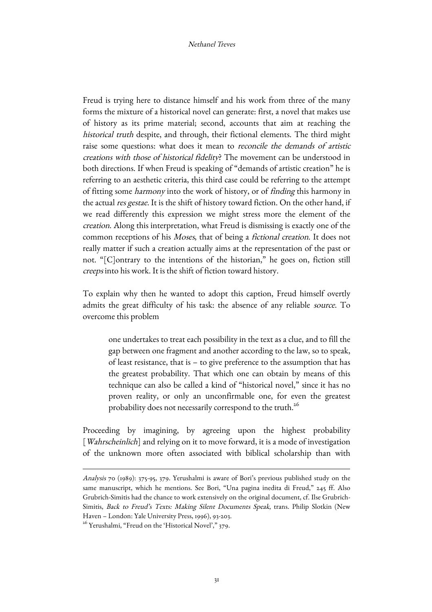Freud is trying here to distance himself and his work from three of the many forms the mixture of a historical novel can generate: first, a novel that makes use of history as its prime material; second, accounts that aim at reaching the historical truth despite, and through, their fictional elements. The third might raise some questions: what does it mean to *reconcile the demands of artistic* creations with those of historical fidelity? The movement can be understood in both directions. If when Freud is speaking of "demands of artistic creation" he is referring to an aesthetic criteria, this third case could be referring to the attempt of fitting some harmony into the work of history, or of finding this harmony in the actual res gestae. It is the shift of history toward fiction. On the other hand, if we read differently this expression we might stress more the element of the creation. Along this interpretation, what Freud is dismissing is exactly one of the common receptions of his Moses, that of being a fictional creation. It does not really matter if such a creation actually aims at the representation of the past or not. "[C]ontrary to the intentions of the historian," he goes on, fiction still creeps into his work. It is the shift of fiction toward history.

To explain why then he wanted to adopt this caption, Freud himself overtly admits the great difficulty of his task: the absence of any reliable source. To overcome this problem

one undertakes to treat each possibility in the text as a clue, and to fill the gap between one fragment and another according to the law, so to speak, of least resistance, that is – to give preference to the assumption that has the greatest probability. That which one can obtain by means of this technique can also be called a kind of "historical novel," since it has no proven reality, or only an unconfirmable one, for even the greatest probability does not necessarily correspond to the truth.<sup>26</sup>

Proceeding by imagining, by agreeing upon the highest probability [*Wahrscheinlich*] and relying on it to move forward, it is a mode of investigation of the unknown more often associated with biblical scholarship than with

Analysis 70 (1989): 375-95, 379. Yerushalmi is aware of Bori's previous published study on the same manuscript, which he mentions. See Bori, "Una pagina inedita di Freud," 245 ff. Also Grubrich-Simitis had the chance to work extensively on the original document, cf. Ilse Grubrich-Simitis, Back to Freud's Texts: Making Silent Documents Speak, trans. Philip Slotkin (New Haven – London: Yale University Press, 1996), 93-203.

<sup>&</sup>lt;sup>26</sup> Yerushalmi, "Freud on the 'Historical Novel'," 379.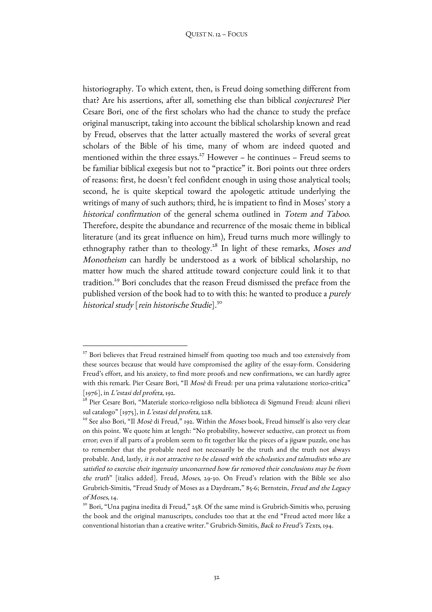historiography. To which extent, then, is Freud doing something different from that? Are his assertions, after all, something else than biblical conjectures? Pier Cesare Bori, one of the first scholars who had the chance to study the preface original manuscript, taking into account the biblical scholarship known and read by Freud, observes that the latter actually mastered the works of several great scholars of the Bible of his time, many of whom are indeed quoted and mentioned within the three essays.<sup>27</sup> However – he continues – Freud seems to be familiar biblical exegesis but not to "practice" it. Bori points out three orders of reasons: first, he doesn't feel confident enough in using those analytical tools; second, he is quite skeptical toward the apologetic attitude underlying the writings of many of such authors; third, he is impatient to find in Moses' story a historical confirmation of the general schema outlined in Totem and Taboo. Therefore, despite the abundance and recurrence of the mosaic theme in biblical literature (and its great influence on him), Freud turns much more willingly to ethnography rather than to theology.<sup>28</sup> In light of these remarks, Moses and Monotheism can hardly be understood as a work of biblical scholarship, no matter how much the shared attitude toward conjecture could link it to that tradition.29 Bori concludes that the reason Freud dismissed the preface from the published version of the book had to to with this: he wanted to produce a *purely* historical study [rein historische Studie].<sup>30</sup>

<sup>&</sup>lt;sup>27</sup> Bori believes that Freud restrained himself from quoting too much and too extensively from these sources because that would have compromised the agility of the essay-form. Considering Freud's effort, and his anxiety, to find more proofs and new confirmations, we can hardly agree with this remark. Pier Cesare Bori, "Il Mosè di Freud: per una prima valutazione storico-critica"

<sup>[1976],</sup> in *L'estasi del profeta*, 192.<br><sup>28</sup> Pier Cesare Bori, "Materiale storico-religioso nella biblioteca di Sigmund Freud: alcuni rilievi

sul catalogo" [1975], in *L'estasi del profeta,* 228.<br><sup>29</sup> See also Bori, "Il *Mosè* di Freud," 192. Within the *Moses* book, Freud himself is also very clear on this point. We quote him at length: "No probability, however seductive, can protect us from error; even if all parts of a problem seem to fit together like the pieces of a jigsaw puzzle, one has to remember that the probable need not necessarily be the truth and the truth not always probable. And, lastly, it is not attractive to be classed with the scholastics and talmudists who are satisfied to exercise their ingenuity unconcerned how far removed their conclusions may be from the truth" [italics added]. Freud, Moses, 29-30. On Freud's relation with the Bible see also Grubrich-Simitis, "Freud Study of Moses as a Daydream," 85-6; Bernstein, Freud and the Legacy of Moses, 14.

<sup>&</sup>lt;sup>30</sup> Bori, "Una pagina inedita di Freud," 258. Of the same mind is Grubrich-Simitis who, perusing the book and the original manuscripts, concludes too that at the end "Freud acted more like a conventional historian than a creative writer." Grubrich-Simitis, Back to Freud's Texts, 194.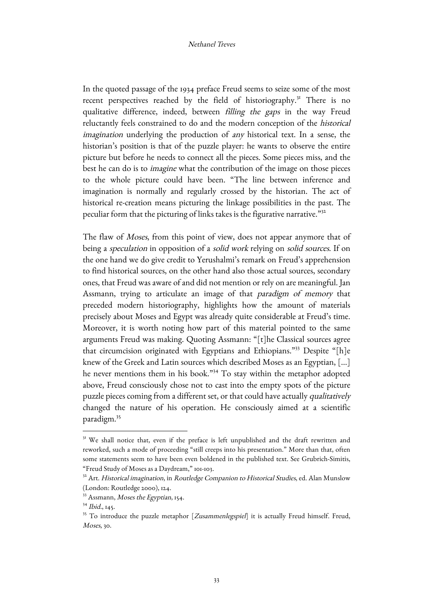In the quoted passage of the 1934 preface Freud seems to seize some of the most recent perspectives reached by the field of historiography.<sup>31</sup> There is no qualitative difference, indeed, between filling the gaps in the way Freud reluctantly feels constrained to do and the modern conception of the historical imagination underlying the production of any historical text. In a sense, the historian's position is that of the puzzle player: he wants to observe the entire picture but before he needs to connect all the pieces. Some pieces miss, and the best he can do is to imagine what the contribution of the image on those pieces to the whole picture could have been. "The line between inference and imagination is normally and regularly crossed by the historian. The act of historical re-creation means picturing the linkage possibilities in the past. The peculiar form that the picturing of links takes is the figurative narrative."32

The flaw of *Moses*, from this point of view, does not appear anymore that of being a speculation in opposition of a solid work relying on solid sources. If on the one hand we do give credit to Yerushalmi's remark on Freud's apprehension to find historical sources, on the other hand also those actual sources, secondary ones, that Freud was aware of and did not mention or rely on are meaningful. Jan Assmann, trying to articulate an image of that paradigm of memory that preceded modern historiography, highlights how the amount of materials precisely about Moses and Egypt was already quite considerable at Freud's time. Moreover, it is worth noting how part of this material pointed to the same arguments Freud was making. Quoting Assmann: "[t]he Classical sources agree that circumcision originated with Egyptians and Ethiopians."<sup>33</sup> Despite "[h]e knew of the Greek and Latin sources which described Moses as an Egyptian, [...] he never mentions them in his book."<sup>34</sup> To stay within the metaphor adopted above, Freud consciously chose not to cast into the empty spots of the picture puzzle pieces coming from a different set, or that could have actually qualitatively changed the nature of his operation. He consciously aimed at a scientific paradigm.35

<sup>&</sup>lt;sup>31</sup> We shall notice that, even if the preface is left unpublished and the draft rewritten and reworked, such a mode of proceeding "still creeps into his presentation." More than that, often some statements seem to have been even boldened in the published text. See Grubrich-Simitis, "Freud Study of Moses as a Daydream," 101-103.

<sup>&</sup>lt;sup>32</sup> Art. Historical imagination, in Routledge Companion to Historical Studies, ed. Alan Munslow (London: Routledge 2000), 124.

 $33$  Assmann, *Moses the Egyptian*, 154.<br> $34$  *Ibid.*, 145.

<sup>&</sup>lt;sup>35</sup> To introduce the puzzle metaphor [*Zusammenlegspiel*] it is actually Freud himself. Freud, Moses, 30.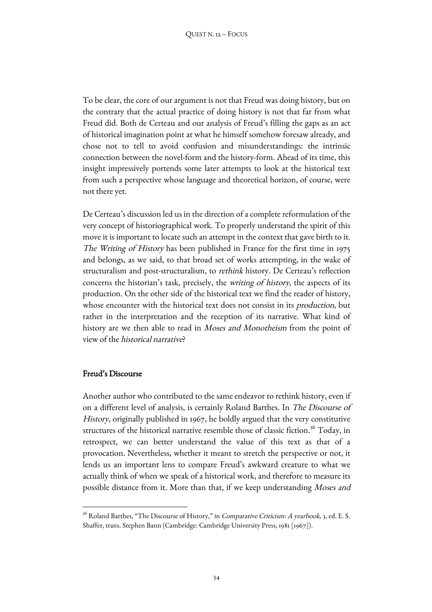To be clear, the core of our argument is not that Freud was doing history, but on the contrary that the actual practice of doing history is not that far from what Freud did. Both de Certeau and our analysis of Freud's filling the gaps as an act of historical imagination point at what he himself somehow foresaw already, and chose not to tell to avoid confusion and misunderstandings: the intrinsic connection between the novel-form and the history-form. Ahead of its time, this insight impressively portends some later attempts to look at the historical text from such a perspective whose language and theoretical horizon, of course, were not there yet.

De Certeau's discussion led us in the direction of a complete reformulation of the very concept of historiographical work. To properly understand the spirit of this move it is important to locate such an attempt in the context that gave birth to it. The Writing of History has been published in France for the first time in 1975 and belongs, as we said, to that broad set of works attempting, in the wake of structuralism and post-structuralism, to rethink history. De Certeau's reflection concerns the historian's task, precisely, the writing of history, the aspects of its production. On the other side of the historical text we find the reader of history, whose encounter with the historical text does not consist in its *production*, but rather in the interpretation and the reception of its narrative. What kind of history are we then able to read in *Moses and Monotheism* from the point of view of the historical narrative?

## Freud's Discourse

<u> 1989 - Johann Barn, mars eta bainar eta industrial eta baina eta baina eta baina eta baina eta baina eta bain</u>

Another author who contributed to the same endeavor to rethink history, even if on a different level of analysis, is certainly Roland Barthes. In The Discourse of History, originally published in 1967, he boldly argued that the very constitutive structures of the historical narrative resemble those of classic fiction.<sup>36</sup> Today, in retrospect, we can better understand the value of this text as that of a provocation. Nevertheless, whether it meant to stretch the perspective or not, it lends us an important lens to compare Freud's awkward creature to what we actually think of when we speak of a historical work, and therefore to measure its possible distance from it. More than that, if we keep understanding Moses and

 $36$  Roland Barthes, "The Discourse of History," in *Comparative Criticism: A yearbook*, 3, ed. E. S. Shaffer, trans. Stephen Bann (Cambridge: Cambridge University Press, 1981 [1967]).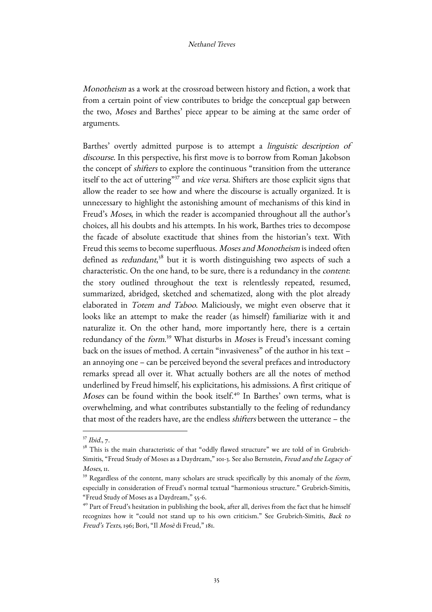Monotheism as a work at the crossroad between history and fiction, a work that from a certain point of view contributes to bridge the conceptual gap between the two, Moses and Barthes' piece appear to be aiming at the same order of arguments.

Barthes' overtly admitted purpose is to attempt a linguistic description of discourse. In this perspective, his first move is to borrow from Roman Jakobson the concept of shifters to explore the continuous "transition from the utterance itself to the act of uttering"<sup>37</sup> and vice versa. Shifters are those explicit signs that allow the reader to see how and where the discourse is actually organized. It is unnecessary to highlight the astonishing amount of mechanisms of this kind in Freud's Moses, in which the reader is accompanied throughout all the author's choices, all his doubts and his attempts. In his work, Barthes tries to decompose the facade of absolute exactitude that shines from the historian's text. With Freud this seems to become superfluous. Moses and Monotheism is indeed often defined as *redundant*,<sup>38</sup> but it is worth distinguishing two aspects of such a characteristic. On the one hand, to be sure, there is a redundancy in the content: the story outlined throughout the text is relentlessly repeated, resumed, summarized, abridged, sketched and schematized, along with the plot already elaborated in Totem and Taboo. Maliciously, we might even observe that it looks like an attempt to make the reader (as himself) familiarize with it and naturalize it. On the other hand, more importantly here, there is a certain redundancy of the *form*.<sup>39</sup> What disturbs in *Moses* is Freud's incessant coming back on the issues of method. A certain "invasiveness" of the author in his text – an annoying one – can be perceived beyond the several prefaces and introductory remarks spread all over it. What actually bothers are all the notes of method underlined by Freud himself, his explicitations, his admissions. A first critique of Moses can be found within the book itself.<sup>40</sup> In Barthes' own terms, what is overwhelming, and what contributes substantially to the feeling of redundancy that most of the readers have, are the endless shifters between the utterance – the

<sup>37</sup> Ibid., 7.

<sup>&</sup>lt;sup>38</sup> This is the main characteristic of that "oddly flawed structure" we are told of in Grubrich-Simitis, "Freud Study of Moses as a Daydream," 101-3. See also Bernstein, Freud and the Legacy of Moses, II.

<sup>&</sup>lt;sup>39</sup> Regardless of the content, many scholars are struck specifically by this anomaly of the form, especially in consideration of Freud's normal textual "harmonious structure." Grubrich-Simitis, "Freud Study of Moses as a Daydream," 55-6.

<sup>&</sup>lt;sup>40</sup> Part of Freud's hesitation in publishing the book, after all, derives from the fact that he himself recognizes how it "could not stand up to his own criticism." See Grubrich-Simitis, Back to Freud's Texts, 196; Bori, "Il Mosè di Freud," 181.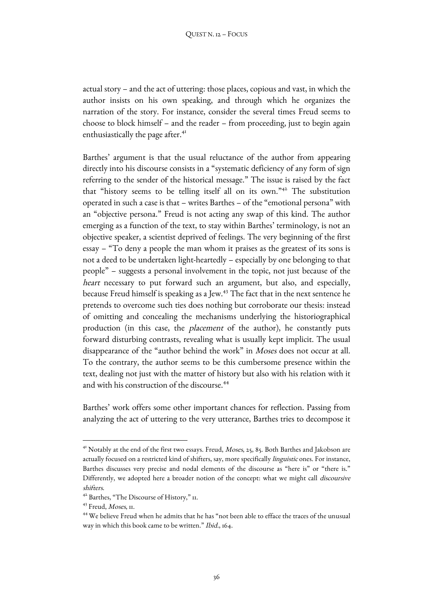actual story – and the act of uttering: those places, copious and vast, in which the author insists on his own speaking, and through which he organizes the narration of the story. For instance, consider the several times Freud seems to choose to block himself – and the reader – from proceeding, just to begin again enthusiastically the page after.<sup>41</sup>

Barthes' argument is that the usual reluctance of the author from appearing directly into his discourse consists in a "systematic deficiency of any form of sign referring to the sender of the historical message." The issue is raised by the fact that "history seems to be telling itself all on its own."<sup>42</sup> The substitution operated in such a case is that – writes Barthes – of the "emotional persona" with an "objective persona." Freud is not acting any swap of this kind. The author emerging as a function of the text, to stay within Barthes' terminology, is not an objective speaker, a scientist deprived of feelings. The very beginning of the first essay – "To deny a people the man whom it praises as the greatest of its sons is not a deed to be undertaken light-heartedly – especially by one belonging to that people" – suggests a personal involvement in the topic, not just because of the heart necessary to put forward such an argument, but also, and especially, because Freud himself is speaking as a Jew.<sup>43</sup> The fact that in the next sentence he pretends to overcome such ties does nothing but corroborate our thesis: instead of omitting and concealing the mechanisms underlying the historiographical production (in this case, the placement of the author), he constantly puts forward disturbing contrasts, revealing what is usually kept implicit. The usual disappearance of the "author behind the work" in Moses does not occur at all. To the contrary, the author seems to be this cumbersome presence within the text, dealing not just with the matter of history but also with his relation with it and with his construction of the discourse.<sup>44</sup>

Barthes' work offers some other important chances for reflection. Passing from analyzing the act of uttering to the very utterance, Barthes tries to decompose it

 

<sup>&</sup>lt;sup>41</sup> Notably at the end of the first two essays. Freud, *Moses*, 25, 85. Both Barthes and Jakobson are actually focused on a restricted kind of shifters, say, more specifically linguistic ones. For instance, Barthes discusses very precise and nodal elements of the discourse as "here is" or "there is." Differently, we adopted here a broader notion of the concept: what we might call discoursive shifters.

<sup>42</sup> Barthes, "The Discourse of History," 11.

<sup>&</sup>lt;sup>43</sup> Freud, *Moses*, *II.* 

<sup>44</sup> We believe Freud when he admits that he has "not been able to efface the traces of the unusual way in which this book came to be written." Ibid., 164.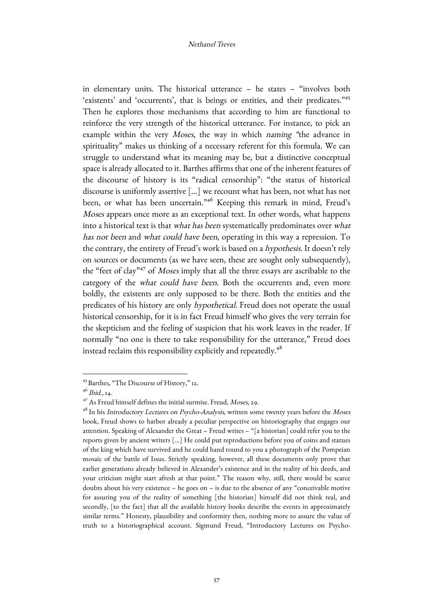in elementary units. The historical utterance – he states – "involves both 'existents' and 'occurrents', that is beings or entities, and their predicates."45 Then he explores those mechanisms that according to him are functional to reinforce the very strength of the historical utterance. For instance, to pick an example within the very Moses, the way in which naming "the advance in spirituality" makes us thinking of a necessary referent for this formula. We can struggle to understand what its meaning may be, but a distinctive conceptual space is already allocated to it. Barthes affirms that one of the inherent features of the discourse of history is its "radical censorship": "the status of historical discourse is uniformly assertive [...] we recount what has been, not what has not been, or what has been uncertain."46 Keeping this remark in mind, Freud's Moses appears once more as an exceptional text. In other words, what happens into a historical text is that what has been systematically predominates over what has not been and what could have been, operating in this way a repression. To the contrary, the entirety of Freud's work is based on a hypothesis. It doesn't rely on sources or documents (as we have seen, these are sought only subsequently), the "feet of clay"<sup>47</sup> of *Moses* imply that all the three essays are ascribable to the category of the what could have been. Both the occurrents and, even more boldly, the existents are only supposed to be there. Both the entities and the predicates of his history are only hypothetical. Freud does not operate the usual historical censorship, for it is in fact Freud himself who gives the very terrain for the skepticism and the feeling of suspicion that his work leaves in the reader. If normally "no one is there to take responsibility for the utterance," Freud does instead reclaim this responsibility explicitly and repeatedly.<sup>48</sup>

<sup>&</sup>lt;u> 1989 - Johann Barn, mars ann an t-Amhain an t-Amhain an t-Amhain an t-Amhain an t-Amhain an t-Amhain an t-Amh</u> <sup>45</sup> Barthes, "The Discourse of History," 12.

 $4^{6}$  Ibid., 14.

 $47$  As Freud himself defines the initial surmise. Freud, *Moses*, 29.

<sup>&</sup>lt;sup>48</sup> In his *Introductory Lectures on Psycho-Analysis*, written some twenty years before the Moses book, Freud shows to harbor already a peculiar perspective on historiography that engages our attention. Speaking of Alexander the Great – Freud writes – "[a historian] could refer you to the reports given by ancient writers […] He could put reproductions before you of coins and statues of the king which have survived and he could hand round to you a photograph of the Pompeian mosaic of the battle of Issus. Strictly speaking, however, all these documents only prove that earlier generations already believed in Alexander's existence and in the reality of his deeds, and your criticism might start afresh at that point." The reason why, still, there would be scarce doubts about his very existence – he goes on – is due to the absence of any "conceivable motive for assuring you of the reality of something [the historian] himself did not think real, and secondly, [to the fact] that all the available history books describe the events in approximately similar terms." Honesty, plausibility and conformity then, nothing more to assure the value of truth to a historiographical account. Sigmund Freud, "Introductory Lectures on Psycho-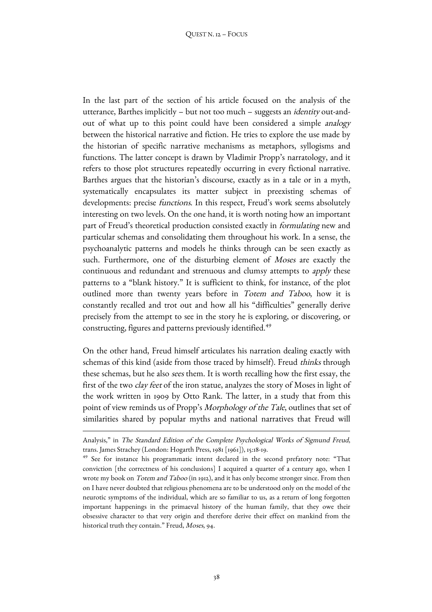In the last part of the section of his article focused on the analysis of the utterance, Barthes implicitly – but not too much – suggests an identity out-andout of what up to this point could have been considered a simple analogy between the historical narrative and fiction. He tries to explore the use made by the historian of specific narrative mechanisms as metaphors, syllogisms and functions. The latter concept is drawn by Vladimir Propp's narratology, and it refers to those plot structures repeatedly occurring in every fictional narrative. Barthes argues that the historian's discourse, exactly as in a tale or in a myth, systematically encapsulates its matter subject in preexisting schemas of developments: precise functions. In this respect, Freud's work seems absolutely interesting on two levels. On the one hand, it is worth noting how an important part of Freud's theoretical production consisted exactly in formulating new and particular schemas and consolidating them throughout his work. In a sense, the psychoanalytic patterns and models he thinks through can be seen exactly as such. Furthermore, one of the disturbing element of Moses are exactly the continuous and redundant and strenuous and clumsy attempts to apply these patterns to a "blank history." It is sufficient to think, for instance, of the plot outlined more than twenty years before in Totem and Taboo, how it is constantly recalled and trot out and how all his "difficulties" generally derive precisely from the attempt to see in the story he is exploring, or discovering, or constructing, figures and patterns previously identified.<sup>49</sup>

On the other hand, Freud himself articulates his narration dealing exactly with schemas of this kind (aside from those traced by himself). Freud thinks through these schemas, but he also sees them. It is worth recalling how the first essay, the first of the two clay feet of the iron statue, analyzes the story of Moses in light of the work written in 1909 by Otto Rank. The latter, in a study that from this point of view reminds us of Propp's Morphology of the Tale, outlines that set of similarities shared by popular myths and national narratives that Freud will

<sup>&</sup>lt;u> 1989 - Johann Barn, mars ann an t-Amhain ann an t-Amhain an t-Amhain an t-Amhain an t-Amhain an t-Amhain an t-</u> Analysis," in The Standard Edition of the Complete Psychological Works of Sigmund Freud, trans. James Strachey (London: Hogarth Press, 1981 [1961]), 15:18-19.

<sup>49</sup> See for instance his programmatic intent declared in the second prefatory note: "That conviction [the correctness of his conclusions] I acquired a quarter of a century ago, when I wrote my book on *Totem and Taboo* (in 1912), and it has only become stronger since. From then on I have never doubted that religious phenomena are to be understood only on the model of the neurotic symptoms of the individual, which are so familiar to us, as a return of long forgotten important happenings in the primaeval history of the human family, that they owe their obsessive character to that very origin and therefore derive their effect on mankind from the historical truth they contain." Freud, Moses, 94.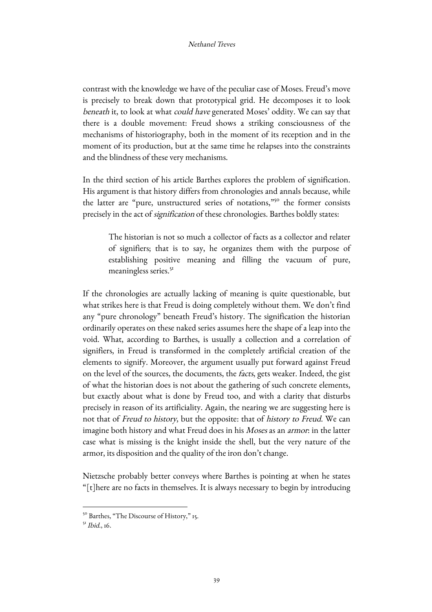contrast with the knowledge we have of the peculiar case of Moses. Freud's move is precisely to break down that prototypical grid. He decomposes it to look beneath it, to look at what could have generated Moses' oddity. We can say that there is a double movement: Freud shows a striking consciousness of the mechanisms of historiography, both in the moment of its reception and in the moment of its production, but at the same time he relapses into the constraints and the blindness of these very mechanisms.

In the third section of his article Barthes explores the problem of signification. His argument is that history differs from chronologies and annals because, while the latter are "pure, unstructured series of notations,"50 the former consists precisely in the act of signification of these chronologies. Barthes boldly states:

The historian is not so much a collector of facts as a collector and relater of signifiers; that is to say, he organizes them with the purpose of establishing positive meaning and filling the vacuum of pure, meaningless series.<sup>51</sup>

If the chronologies are actually lacking of meaning is quite questionable, but what strikes here is that Freud is doing completely without them. We don't find any "pure chronology" beneath Freud's history. The signification the historian ordinarily operates on these naked series assumes here the shape of a leap into the void. What, according to Barthes, is usually a collection and a correlation of signifiers, in Freud is transformed in the completely artificial creation of the elements to signify. Moreover, the argument usually put forward against Freud on the level of the sources, the documents, the facts, gets weaker. Indeed, the gist of what the historian does is not about the gathering of such concrete elements, but exactly about what is done by Freud too, and with a clarity that disturbs precisely in reason of its artificiality. Again, the nearing we are suggesting here is not that of Freud to history, but the opposite: that of history to Freud. We can imagine both history and what Freud does in his Moses as an armor: in the latter case what is missing is the knight inside the shell, but the very nature of the armor, its disposition and the quality of the iron don't change.

Nietzsche probably better conveys where Barthes is pointing at when he states "[t]here are no facts in themselves. It is always necessary to begin by introducing

<u> 1989 - Johann Barn, mars eta bainar eta industrial eta baina eta baina eta baina eta baina eta baina eta bain</u>

<sup>&</sup>lt;sup>50</sup> Barthes, "The Discourse of History," 15.

 $5^1$  *Ibid.*, 16.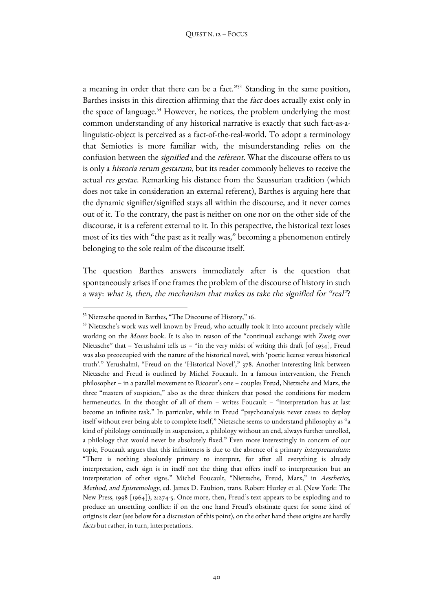a meaning in order that there can be a fact."52 Standing in the same position, Barthes insists in this direction affirming that the fact does actually exist only in the space of language.<sup>53</sup> However, he notices, the problem underlying the most common understanding of any historical narrative is exactly that such fact-as-alinguistic-object is perceived as a fact-of-the-real-world. To adopt a terminology that Semiotics is more familiar with, the misunderstanding relies on the confusion between the *signified* and the *referent*. What the discourse offers to us is only a historia rerum gestarum, but its reader commonly believes to receive the actual res gestae. Remarking his distance from the Saussurian tradition (which does not take in consideration an external referent), Barthes is arguing here that the dynamic signifier/signified stays all within the discourse, and it never comes out of it. To the contrary, the past is neither on one nor on the other side of the discourse, it is a referent external to it. In this perspective, the historical text loses most of its ties with "the past as it really was," becoming a phenomenon entirely belonging to the sole realm of the discourse itself.

The question Barthes answers immediately after is the question that spontaneously arises if one frames the problem of the discourse of history in such a way: what is, then, the mechanism that makes us take the signified for "real"?

<sup>&</sup>lt;sup>52</sup> Nietzsche quoted in Barthes, "The Discourse of History," 16.

<sup>&</sup>lt;sup>53</sup> Nietzsche's work was well known by Freud, who actually took it into account precisely while working on the *Moses* book. It is also in reason of the "continual exchange with Zweig over Nietzsche" that – Yerushalmi tells us – "in the very midst of writing this draft [of 1934], Freud was also preoccupied with the nature of the historical novel, with 'poetic license versus historical truth'." Yerushalmi, "Freud on the 'Historical Novel'," 378. Another interesting link between Nietzsche and Freud is outlined by Michel Foucault. In a famous intervention, the French philosopher – in a parallel movement to Ricoeur's one – couples Freud, Nietzsche and Marx, the three "masters of suspicion," also as the three thinkers that posed the conditions for modern hermeneutics. In the thought of all of them – writes Foucault – "interpretation has at last become an infinite task." In particular, while in Freud "psychoanalysis never ceases to deploy itself without ever being able to complete itself," Nietzsche seems to understand philosophy as "a kind of philology continually in suspension, a philology without an end, always further unrolled, a philology that would never be absolutely fixed." Even more interestingly in concern of our topic, Foucault argues that this infiniteness is due to the absence of a primary interpretandum: "There is nothing absolutely primary to interpret, for after all everything is already interpretation, each sign is in itself not the thing that offers itself to interpretation but an interpretation of other signs." Michel Foucault, "Nietzsche, Freud, Marx," in Aesthetics, Method, and Epistemology, ed. James D. Faubion, trans. Robert Hurley et al. (New York: The New Press, 1998 [1964]), 2:274-5. Once more, then, Freud's text appears to be exploding and to produce an unsettling conflict: if on the one hand Freud's obstinate quest for some kind of origins is clear (see below for a discussion of this point), on the other hand these origins are hardly facts but rather, in turn, interpretations.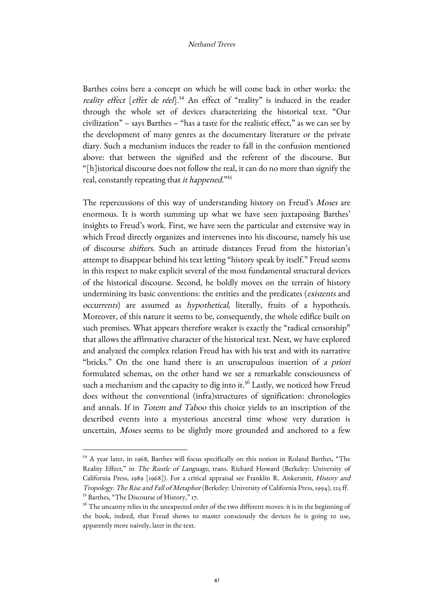Barthes coins here a concept on which he will come back in other works: the reality effect [effet de réel].<sup>54</sup> An effect of "reality" is induced in the reader through the whole set of devices characterizing the historical text. "Our civilization" – says Barthes – "has a taste for the realistic effect," as we can see by the development of many genres as the documentary literature or the private diary. Such a mechanism induces the reader to fall in the confusion mentioned above: that between the signified and the referent of the discourse. But "[h]istorical discourse does not follow the real, it can do no more than signify the real, constantly repeating that it happened."55

The repercussions of this way of understanding history on Freud's Moses are enormous. It is worth summing up what we have seen juxtaposing Barthes' insights to Freud's work. First, we have seen the particular and extensive way in which Freud directly organizes and intervenes into his discourse, namely his use of discourse shifters. Such an attitude distances Freud from the historian's attempt to disappear behind his text letting "history speak by itself." Freud seems in this respect to make explicit several of the most fundamental structural devices of the historical discourse. Second, he boldly moves on the terrain of history undermining its basic conventions: the entities and the predicates (existents and occurrents) are assumed as hypothetical, literally, fruits of a hypothesis. Moreover, of this nature it seems to be, consequently, the whole edifice built on such premises. What appears therefore weaker is exactly the "radical censorship" that allows the affirmative character of the historical text. Next, we have explored and analyzed the complex relation Freud has with his text and with its narrative "bricks." On the one hand there is an unscrupulous insertion of a priori formulated schemas, on the other hand we see a remarkable consciousness of such a mechanism and the capacity to dig into it.<sup>56</sup> Lastly, we noticed how Freud does without the conventional (infra)structures of signification: chronologies and annals. If in Totem and Taboo this choice yields to an inscription of the described events into a mysterious ancestral time whose very duration is uncertain, Moses seems to be slightly more grounded and anchored to a few

<sup>54</sup> A year later, in 1968, Barthes will focus specifically on this notion in Roland Barthes, "The Reality Effect," in The Rustle of Language, trans. Richard Howard (Berkeley: University of California Press, 1989 [1968]). For a critical appraisal see Franklin R. Ankersmit, History and Tropology. The Rise and Fall of Metaphor (Berkeley: University of California Press, 1994), 125 ff. <sup>55</sup> Barthes, "The Discourse of History," 17.

<sup>&</sup>lt;sup>56</sup> The uncanny relies in the unexpected order of the two different moves: it is in the beginning of the book, indeed, that Freud shows to master consciously the devices he is going to use, apparently more naively, later in the text.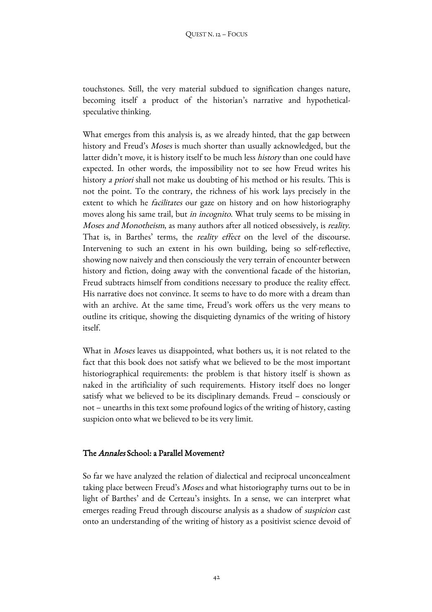touchstones. Still, the very material subdued to signification changes nature, becoming itself a product of the historian's narrative and hypotheticalspeculative thinking.

What emerges from this analysis is, as we already hinted, that the gap between history and Freud's *Moses* is much shorter than usually acknowledged, but the latter didn't move, it is history itself to be much less history than one could have expected. In other words, the impossibility not to see how Freud writes his history a priori shall not make us doubting of his method or his results. This is not the point. To the contrary, the richness of his work lays precisely in the extent to which he *facilitates* our gaze on history and on how historiography moves along his same trail, but *in incognito*. What truly seems to be missing in Moses and Monotheism, as many authors after all noticed obsessively, is reality. That is, in Barthes' terms, the reality effect on the level of the discourse. Intervening to such an extent in his own building, being so self-reflective, showing now naively and then consciously the very terrain of encounter between history and fiction, doing away with the conventional facade of the historian, Freud subtracts himself from conditions necessary to produce the reality effect. His narrative does not convince. It seems to have to do more with a dream than with an archive. At the same time, Freud's work offers us the very means to outline its critique, showing the disquieting dynamics of the writing of history itself.

What in *Moses* leaves us disappointed, what bothers us, it is not related to the fact that this book does not satisfy what we believed to be the most important historiographical requirements: the problem is that history itself is shown as naked in the artificiality of such requirements. History itself does no longer satisfy what we believed to be its disciplinary demands. Freud – consciously or not – unearths in this text some profound logics of the writing of history, casting suspicion onto what we believed to be its very limit.

# The Annales School: a Parallel Movement?

So far we have analyzed the relation of dialectical and reciprocal unconcealment taking place between Freud's Moses and what historiography turns out to be in light of Barthes' and de Certeau's insights. In a sense, we can interpret what emerges reading Freud through discourse analysis as a shadow of suspicion cast onto an understanding of the writing of history as a positivist science devoid of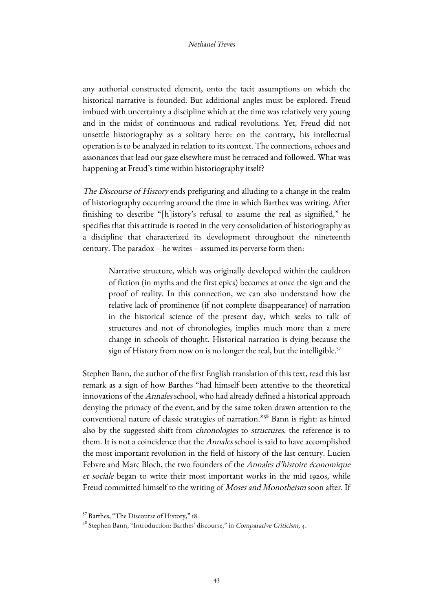any authorial constructed element, onto the tacit assumptions on which the historical narrative is founded. But additional angles must be explored. Freud imbued with uncertainty a discipline which at the time was relatively very young and in the midst of continuous and radical revolutions. Yet, Freud did not unsettle historiography as a solitary hero: on the contrary, his intellectual operation is to be analyzed in relation to its context. The connections, echoes and assonances that lead our gaze elsewhere must be retraced and followed. What was happening at Freud's time within historiography itself?

The Discourse of History ends prefiguring and alluding to a change in the realm of historiography occurring around the time in which Barthes was writing. After finishing to describe "[h]istory's refusal to assume the real as signified," he specifies that this attitude is rooted in the very consolidation of historiography as a discipline that characterized its development throughout the nineteenth century. The paradox – he writes – assumed its perverse form then:

Narrative structure, which was originally developed within the cauldron of fiction (in myths and the first epics) becomes at once the sign and the proof of reality. In this connection, we can also understand how the relative lack of prominence (if not complete disappearance) of narration in the historical science of the present day, which seeks to talk of structures and not of chronologies, implies much more than a mere change in schools of thought. Historical narration is dying because the sign of History from now on is no longer the real, but the intelligible.<sup>57</sup>

Stephen Bann, the author of the first English translation of this text, read this last remark as a sign of how Barthes "had himself been attentive to the theoretical innovations of the Annales school, who had already defined a historical approach denying the primacy of the event, and by the same token drawn attention to the conventional nature of classic strategies of narration."<sup>58</sup> Bann is right: as hinted also by the suggested shift from chronologies to structures, the reference is to them. It is not a coincidence that the Annales school is said to have accomplished the most important revolution in the field of history of the last century. Lucien Febvre and Marc Bloch, the two founders of the Annales d'histoire économique et sociale began to write their most important works in the mid 1920s, while Freud committed himself to the writing of Moses and Monotheism soon after. If

<u> 1989 - Johann Barn, mars eta bainar eta industrial eta baina eta baina eta baina eta baina eta baina eta bain</u>

<sup>57</sup> Barthes, "The Discourse of History," 18.

<sup>&</sup>lt;sup>58</sup> Stephen Bann, "Introduction: Barthes' discourse," in Comparative Criticism, 4.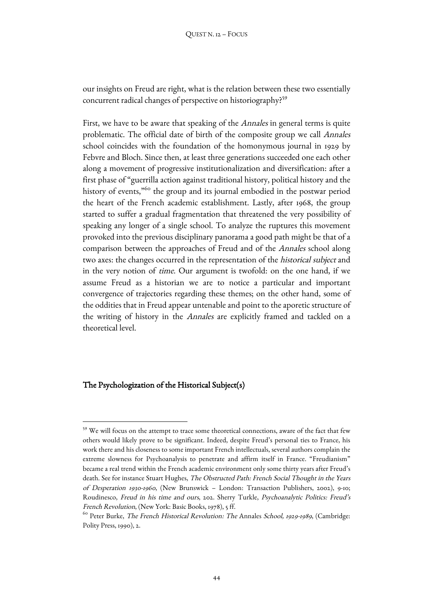our insights on Freud are right, what is the relation between these two essentially concurrent radical changes of perspective on historiography?59

First, we have to be aware that speaking of the *Annales* in general terms is quite problematic. The official date of birth of the composite group we call Annales school coincides with the foundation of the homonymous journal in 1929 by Febvre and Bloch. Since then, at least three generations succeeded one each other along a movement of progressive institutionalization and diversification: after a first phase of "guerrilla action against traditional history, political history and the history of events,<sup>"60</sup> the group and its journal embodied in the postwar period the heart of the French academic establishment. Lastly, after 1968, the group started to suffer a gradual fragmentation that threatened the very possibility of speaking any longer of a single school. To analyze the ruptures this movement provoked into the previous disciplinary panorama a good path might be that of a comparison between the approaches of Freud and of the Annales school along two axes: the changes occurred in the representation of the historical subject and in the very notion of time. Our argument is twofold: on the one hand, if we assume Freud as a historian we are to notice a particular and important convergence of trajectories regarding these themes; on the other hand, some of the oddities that in Freud appear untenable and point to the aporetic structure of the writing of history in the Annales are explicitly framed and tackled on a theoretical level.

# The Psychologization of the Historical Subject(s)

<sup>&</sup>lt;sup>59</sup> We will focus on the attempt to trace some theoretical connections, aware of the fact that few others would likely prove to be significant. Indeed, despite Freud's personal ties to France, his work there and his closeness to some important French intellectuals, several authors complain the extreme slowness for Psychoanalysis to penetrate and affirm itself in France. "Freudianism" became a real trend within the French academic environment only some thirty years after Freud's death. See for instance Stuart Hughes, The Obstructed Path: French Social Thought in the Years of Desperation 1930-1960, (New Brunswick – London: Transaction Publishers, 2002), 9-10; Roudinesco, Freud in his time and ours, 202. Sherry Turkle, Psychoanalytic Politics: Freud's French Revolution, (New York: Basic Books, 1978), 5 ff.

 $^{60}$  Peter Burke, *The French Historical Revolution: The Annales School, 1929-1989*, (Cambridge: Polity Press, 1990), 2.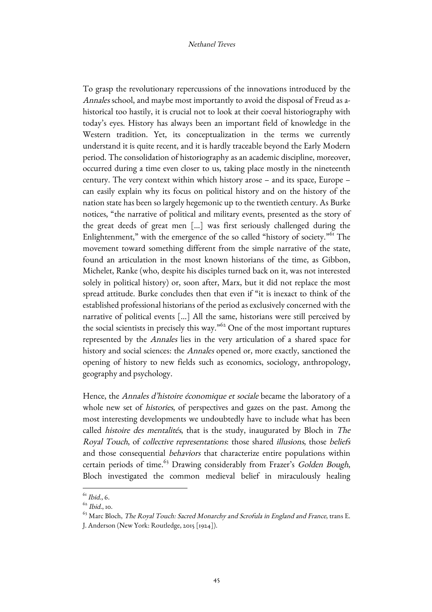To grasp the revolutionary repercussions of the innovations introduced by the Annales school, and maybe most importantly to avoid the disposal of Freud as ahistorical too hastily, it is crucial not to look at their coeval historiography with today's eyes. History has always been an important field of knowledge in the Western tradition. Yet, its conceptualization in the terms we currently understand it is quite recent, and it is hardly traceable beyond the Early Modern period. The consolidation of historiography as an academic discipline, moreover, occurred during a time even closer to us, taking place mostly in the nineteenth century. The very context within which history arose – and its space, Europe – can easily explain why its focus on political history and on the history of the nation state has been so largely hegemonic up to the twentieth century. As Burke notices, "the narrative of political and military events, presented as the story of the great deeds of great men […] was first seriously challenged during the Enlightenment," with the emergence of the so called "history of society."<sup>61</sup> The movement toward something different from the simple narrative of the state, found an articulation in the most known historians of the time, as Gibbon, Michelet, Ranke (who, despite his disciples turned back on it, was not interested solely in political history) or, soon after, Marx, but it did not replace the most spread attitude. Burke concludes then that even if "it is inexact to think of the established professional historians of the period as exclusively concerned with the narrative of political events […] All the same, historians were still perceived by the social scientists in precisely this way.<sup>"62</sup> One of the most important ruptures represented by the Annales lies in the very articulation of a shared space for history and social sciences: the Annales opened or, more exactly, sanctioned the opening of history to new fields such as economics, sociology, anthropology, geography and psychology.

Hence, the Annales d'histoire économique et sociale became the laboratory of a whole new set of histories, of perspectives and gazes on the past. Among the most interesting developments we undoubtedly have to include what has been called histoire des mentalités, that is the study, inaugurated by Bloch in The Royal Touch, of collective representations: those shared illusions, those beliefs and those consequential behaviors that characterize entire populations within certain periods of time.<sup>63</sup> Drawing considerably from Frazer's Golden Bough, Bloch investigated the common medieval belief in miraculously healing

 $61$  Ibid., 6.

 $62$  *Ibid* 10.

 $^{63}$  Marc Bloch, *The Royal Touch: Sacred Monarchy and Scrofula in England and France*, trans E. J. Anderson (New York: Routledge, 2015 [1924]).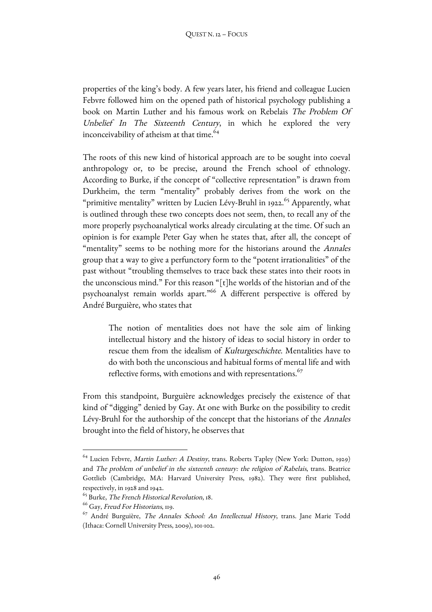properties of the king's body. A few years later, his friend and colleague Lucien Febvre followed him on the opened path of historical psychology publishing a book on Martin Luther and his famous work on Rebelais The Problem Of Unbelief In The Sixteenth Century, in which he explored the very inconceivability of atheism at that time.<sup>64</sup>

The roots of this new kind of historical approach are to be sought into coeval anthropology or, to be precise, around the French school of ethnology. According to Burke, if the concept of "collective representation" is drawn from Durkheim, the term "mentality" probably derives from the work on the "primitive mentality" written by Lucien Lévy-Bruhl in 1922.<sup>65</sup> Apparently, what is outlined through these two concepts does not seem, then, to recall any of the more properly psychoanalytical works already circulating at the time. Of such an opinion is for example Peter Gay when he states that, after all, the concept of "mentality" seems to be nothing more for the historians around the Annales group that a way to give a perfunctory form to the "potent irrationalities" of the past without "troubling themselves to trace back these states into their roots in the unconscious mind." For this reason "[t]he worlds of the historian and of the psychoanalyst remain worlds apart."<sup>66</sup> A different perspective is offered by André Burguière, who states that

The notion of mentalities does not have the sole aim of linking intellectual history and the history of ideas to social history in order to rescue them from the idealism of Kulturgeschichte. Mentalities have to do with both the unconscious and habitual forms of mental life and with reflective forms, with emotions and with representations.<sup>67</sup>

From this standpoint, Burguière acknowledges precisely the existence of that kind of "digging" denied by Gay. At one with Burke on the possibility to credit Lévy-Bruhl for the authorship of the concept that the historians of the Annales brought into the field of history, he observes that

 $^{64}$  Lucien Febvre, *Martin Luther: A Destiny*, trans. Roberts Tapley (New York: Dutton, 1929) and The problem of unbelief in the sixteenth century: the religion of Rabelais, trans. Beatrice Gottlieb (Cambridge, MA: Harvard University Press, 1982). They were first published, respectively, in 1928 and 1942.

<sup>65</sup> Burke, The French Historical Revolution, 18.

<sup>&</sup>lt;sup>66</sup> Gay, Freud For Historians, 119.

 $67$  André Burguière, *The Annales School: An Intellectual History*, trans. Jane Marie Todd (Ithaca: Cornell University Press, 2009), 101-102.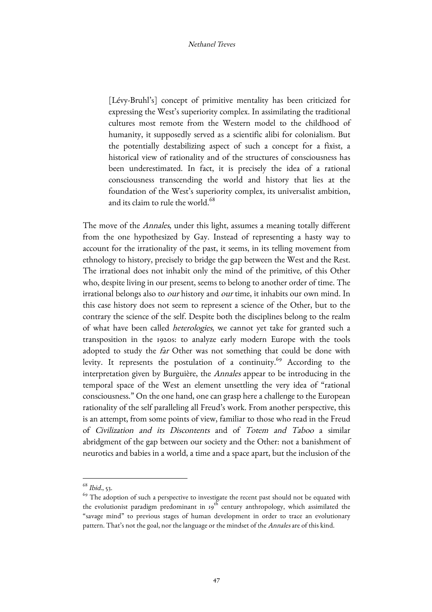[Lévy-Bruhl's] concept of primitive mentality has been criticized for expressing the West's superiority complex. In assimilating the traditional cultures most remote from the Western model to the childhood of humanity, it supposedly served as a scientific alibi for colonialism. But the potentially destabilizing aspect of such a concept for a fixist, a historical view of rationality and of the structures of consciousness has been underestimated. In fact, it is precisely the idea of a rational consciousness transcending the world and history that lies at the foundation of the West's superiority complex, its universalist ambition, and its claim to rule the world.<sup>68</sup>

The move of the Annales, under this light, assumes a meaning totally different from the one hypothesized by Gay. Instead of representing a hasty way to account for the irrationality of the past, it seems, in its telling movement from ethnology to history, precisely to bridge the gap between the West and the Rest. The irrational does not inhabit only the mind of the primitive, of this Other who, despite living in our present, seems to belong to another order of time. The irrational belongs also to *our* history and *our* time, it inhabits our own mind. In this case history does not seem to represent a science of the Other, but to the contrary the science of the self. Despite both the disciplines belong to the realm of what have been called heterologies, we cannot yet take for granted such a transposition in the 1920s: to analyze early modern Europe with the tools adopted to study the *far* Other was not something that could be done with levity. It represents the postulation of a continuity.<sup>69</sup> According to the interpretation given by Burguière, the Annales appear to be introducing in the temporal space of the West an element unsettling the very idea of "rational consciousness." On the one hand, one can grasp here a challenge to the European rationality of the self paralleling all Freud's work. From another perspective, this is an attempt, from some points of view, familiar to those who read in the Freud of Civilization and its Discontents and of Totem and Taboo a similar abridgment of the gap between our society and the Other: not a banishment of neurotics and babies in a world, a time and a space apart, but the inclusion of the

<sup>68</sup> Ibid., 53.

<sup>&</sup>lt;sup>69</sup> The adoption of such a perspective to investigate the recent past should not be equated with the evolutionist paradigm predominant in  $19^{th}$  century anthropology, which assimilated the "savage mind" to previous stages of human development in order to trace an evolutionary pattern. That's not the goal, nor the language or the mindset of the Annales are of this kind.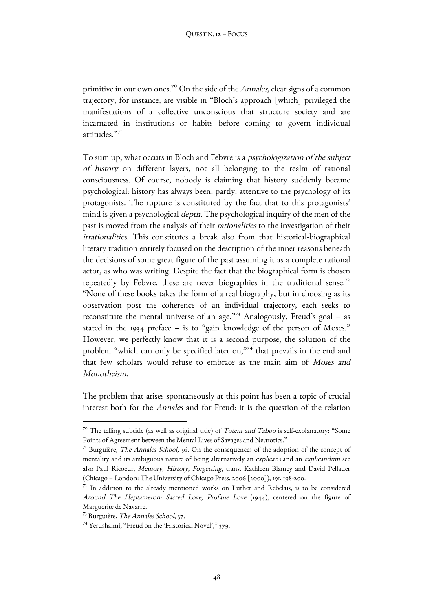primitive in our own ones.<sup>70</sup> On the side of the *Annales*, clear signs of a common trajectory, for instance, are visible in "Bloch's approach [which] privileged the manifestations of a collective unconscious that structure society and are incarnated in institutions or habits before coming to govern individual attitudes."<sup>71</sup>

To sum up, what occurs in Bloch and Febvre is a psychologization of the subject of history on different layers, not all belonging to the realm of rational consciousness. Of course, nobody is claiming that history suddenly became psychological: history has always been, partly, attentive to the psychology of its protagonists. The rupture is constituted by the fact that to this protagonists' mind is given a psychological *depth*. The psychological inquiry of the men of the past is moved from the analysis of their rationalities to the investigation of their irrationalities. This constitutes a break also from that historical-biographical literary tradition entirely focused on the description of the inner reasons beneath the decisions of some great figure of the past assuming it as a complete rational actor, as who was writing. Despite the fact that the biographical form is chosen repeatedly by Febvre, these are never biographies in the traditional sense.<sup>72</sup> "None of these books takes the form of a real biography, but in choosing as its observation post the coherence of an individual trajectory, each seeks to reconstitute the mental universe of an age."<sup>73</sup> Analogously, Freud's goal - as stated in the 1934 preface – is to "gain knowledge of the person of Moses." However, we perfectly know that it is a second purpose, the solution of the problem "which can only be specified later on,"74 that prevails in the end and that few scholars would refuse to embrace as the main aim of Moses and Monotheism.

The problem that arises spontaneously at this point has been a topic of crucial interest both for the Annales and for Freud: it is the question of the relation

 $7^{\circ}$  The telling subtitle (as well as original title) of *Totem and Taboo* is self-explanatory: "Some Points of Agreement between the Mental Lives of Savages and Neurotics."

<sup>&</sup>lt;sup>71</sup> Burguière, *The Annales School*, 56. On the consequences of the adoption of the concept of mentality and its ambiguous nature of being alternatively an explicans and an explicandum see also Paul Ricoeur, Memory, History, Forgetting, trans. Kathleen Blamey and David Pellauer (Chicago – London: The University of Chicago Press, 2006 [2000]), 191, 198-200.

 $72$  In addition to the already mentioned works on Luther and Rebelais, is to be considered Around The Heptameron: Sacred Love, Profane Love (1944), centered on the figure of Marguerite de Navarre.

 $^{73}$  Burguière, *The Annales School*, 57.

<sup>74</sup> Yerushalmi, "Freud on the 'Historical Novel'," 379.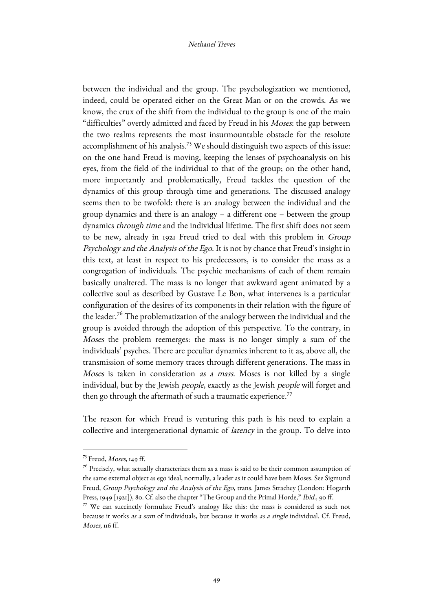between the individual and the group. The psychologization we mentioned, indeed, could be operated either on the Great Man or on the crowds. As we know, the crux of the shift from the individual to the group is one of the main "difficulties" overtly admitted and faced by Freud in his Moses: the gap between the two realms represents the most insurmountable obstacle for the resolute accomplishment of his analysis.<sup>75</sup> We should distinguish two aspects of this issue: on the one hand Freud is moving, keeping the lenses of psychoanalysis on his eyes, from the field of the individual to that of the group; on the other hand, more importantly and problematically, Freud tackles the question of the dynamics of this group through time and generations. The discussed analogy seems then to be twofold: there is an analogy between the individual and the group dynamics and there is an analogy – a different one – between the group dynamics through time and the individual lifetime. The first shift does not seem to be new, already in 1921 Freud tried to deal with this problem in Group Psychology and the Analysis of the Ego. It is not by chance that Freud's insight in this text, at least in respect to his predecessors, is to consider the mass as a congregation of individuals. The psychic mechanisms of each of them remain basically unaltered. The mass is no longer that awkward agent animated by a collective soul as described by Gustave Le Bon, what intervenes is a particular configuration of the desires of its components in their relation with the figure of the leader.<sup>76</sup> The problematization of the analogy between the individual and the group is avoided through the adoption of this perspective. To the contrary, in Moses the problem reemerges: the mass is no longer simply a sum of the individuals' psyches. There are peculiar dynamics inherent to it as, above all, the transmission of some memory traces through different generations. The mass in Moses is taken in consideration as a mass. Moses is not killed by a single individual, but by the Jewish people, exactly as the Jewish people will forget and then go through the aftermath of such a traumatic experience.<sup>77</sup>

The reason for which Freud is venturing this path is his need to explain a collective and intergenerational dynamic of latency in the group. To delve into

 $^{75}$  Freud, *Moses*, 149 ff.

 $^{76}$  Precisely, what actually characterizes them as a mass is said to be their common assumption of the same external object as ego ideal, normally, a leader as it could have been Moses. See Sigmund Freud, Group Psychology and the Analysis of the Ego, trans. James Strachey (London: Hogarth Press, 1949 [1921]), 80. Cf. also the chapter "The Group and the Primal Horde," Ibid., 90 ff.

<sup>77</sup> We can succinctly formulate Freud's analogy like this: the mass is considered as such not because it works as a sum of individuals, but because it works as a single individual. Cf. Freud, Moses, 116 ff.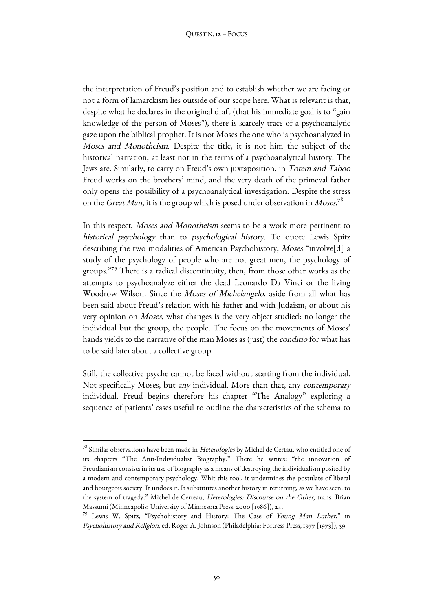the interpretation of Freud's position and to establish whether we are facing or not a form of lamarckism lies outside of our scope here. What is relevant is that, despite what he declares in the original draft (that his immediate goal is to "gain knowledge of the person of Moses"), there is scarcely trace of a psychoanalytic gaze upon the biblical prophet. It is not Moses the one who is psychoanalyzed in Moses and Monotheism. Despite the title, it is not him the subject of the historical narration, at least not in the terms of a psychoanalytical history. The Jews are. Similarly, to carry on Freud's own juxtaposition, in Totem and Taboo Freud works on the brothers' mind, and the very death of the primeval father only opens the possibility of a psychoanalytical investigation. Despite the stress on the *Great Man*, it is the group which is posed under observation in *Moses.*  $^{78}$ 

In this respect, Moses and Monotheism seems to be a work more pertinent to historical psychology than to psychological history. To quote Lewis Spitz describing the two modalities of American Psychohistory, Moses "involve[d] a study of the psychology of people who are not great men, the psychology of groups."79 There is a radical discontinuity, then, from those other works as the attempts to psychoanalyze either the dead Leonardo Da Vinci or the living Woodrow Wilson. Since the Moses of Michelangelo, aside from all what has been said about Freud's relation with his father and with Judaism, or about his very opinion on Moses, what changes is the very object studied: no longer the individual but the group, the people. The focus on the movements of Moses' hands yields to the narrative of the man Moses as (just) the conditio for what has to be said later about a collective group.

Still, the collective psyche cannot be faced without starting from the individual. Not specifically Moses, but any individual. More than that, any contemporary individual. Freud begins therefore his chapter "The Analogy" exploring a sequence of patients' cases useful to outline the characteristics of the schema to

 

 $^{78}$  Similar observations have been made in Heterologies by Michel de Certau, who entitled one of its chapters "The Anti-Individualist Biography." There he writes: "the innovation of Freudianism consists in its use of biography as a means of destroying the individualism posited by a modern and contemporary psychology. Whit this tool, it undermines the postulate of liberal and bourgeois society. It undoes it. It substitutes another history in returning, as we have seen, to the system of tragedy." Michel de Certeau, Heterologies: Discourse on the Other, trans. Brian Massumi (Minneapolis: University of Minnesota Press, 2000 [1986]), 24.

<sup>&</sup>lt;sup>79</sup> Lewis W. Spitz, "Psychohistory and History: The Case of Young Man Luther," in Psychohistory and Religion, ed. Roger A. Johnson (Philadelphia: Fortress Press, 1977 [1973]), 59.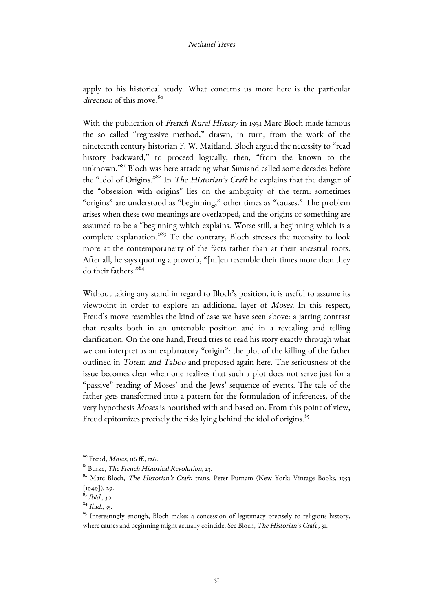apply to his historical study. What concerns us more here is the particular direction of this move. $80^\circ$ 

With the publication of French Rural History in 1931 Marc Bloch made famous the so called "regressive method," drawn, in turn, from the work of the nineteenth century historian F. W. Maitland. Bloch argued the necessity to "read history backward," to proceed logically, then, "from the known to the unknown."<sup>81</sup> Bloch was here attacking what Simiand called some decades before the "Idol of Origins."<sup>82</sup> In *The Historian's Craft* he explains that the danger of the "obsession with origins" lies on the ambiguity of the term: sometimes "origins" are understood as "beginning," other times as "causes." The problem arises when these two meanings are overlapped, and the origins of something are assumed to be a "beginning which explains. Worse still, a beginning which is a complete explanation."<sup>83</sup> To the contrary, Bloch stresses the necessity to look more at the contemporaneity of the facts rather than at their ancestral roots. After all, he says quoting a proverb, "[m]en resemble their times more than they do their fathers."84

Without taking any stand in regard to Bloch's position, it is useful to assume its viewpoint in order to explore an additional layer of Moses. In this respect, Freud's move resembles the kind of case we have seen above: a jarring contrast that results both in an untenable position and in a revealing and telling clarification. On the one hand, Freud tries to read his story exactly through what we can interpret as an explanatory "origin": the plot of the killing of the father outlined in Totem and Taboo and proposed again here. The seriousness of the issue becomes clear when one realizes that such a plot does not serve just for a "passive" reading of Moses' and the Jews' sequence of events. The tale of the father gets transformed into a pattern for the formulation of inferences, of the very hypothesis Moses is nourished with and based on. From this point of view, Freud epitomizes precisely the risks lying behind the idol of origins.<sup>85</sup>

 $80$  Freud, *Moses*, 116 ff., 126.

 $81$ <sup>81</sup> Burke, *The French Historical Revolution*, 23.

<sup>&</sup>lt;sup>82</sup> Marc Bloch, *The Historian's Craft*, trans. Peter Putnam (New York: Vintage Books, 1953 [1949]), 29.

 $83$  *Ibid.*, 30.

 $84$  Ibid., 35.

<sup>&</sup>lt;sup>85</sup> Interestingly enough, Bloch makes a concession of legitimacy precisely to religious history, where causes and beginning might actually coincide. See Bloch, The Historian's Craft, 31.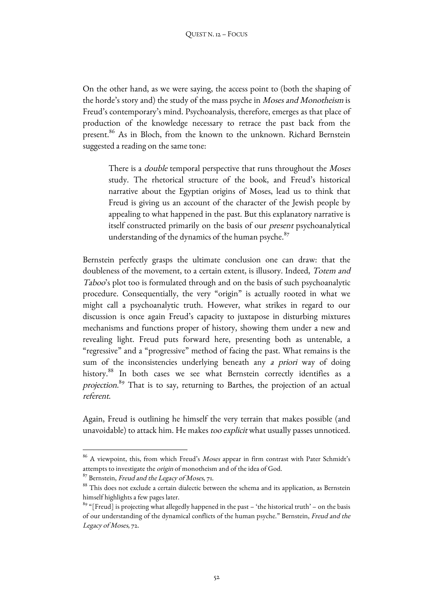On the other hand, as we were saying, the access point to (both the shaping of the horde's story and) the study of the mass psyche in Moses and Monotheism is Freud's contemporary's mind. Psychoanalysis, therefore, emerges as that place of production of the knowledge necessary to retrace the past back from the present.<sup>86</sup> As in Bloch, from the known to the unknown. Richard Bernstein suggested a reading on the same tone:

There is a *double* temporal perspective that runs throughout the *Moses* study. The rhetorical structure of the book, and Freud's historical narrative about the Egyptian origins of Moses, lead us to think that Freud is giving us an account of the character of the Jewish people by appealing to what happened in the past. But this explanatory narrative is itself constructed primarily on the basis of our present psychoanalytical understanding of the dynamics of the human psyche. $87$ 

Bernstein perfectly grasps the ultimate conclusion one can draw: that the doubleness of the movement, to a certain extent, is illusory. Indeed, Totem and Taboo's plot too is formulated through and on the basis of such psychoanalytic procedure. Consequentially, the very "origin" is actually rooted in what we might call a psychoanalytic truth. However, what strikes in regard to our discussion is once again Freud's capacity to juxtapose in disturbing mixtures mechanisms and functions proper of history, showing them under a new and revealing light. Freud puts forward here, presenting both as untenable, a "regressive" and a "progressive" method of facing the past. What remains is the sum of the inconsistencies underlying beneath any a priori way of doing history.<sup>88</sup> In both cases we see what Bernstein correctly identifies as a projection.<sup>89</sup> That is to say, returning to Barthes, the projection of an actual referent.

Again, Freud is outlining he himself the very terrain that makes possible (and unavoidable) to attack him. He makes too explicit what usually passes unnoticed.

<sup>&</sup>lt;sup>86</sup> A viewpoint, this, from which Freud's Moses appear in firm contrast with Pater Schmidt's attempts to investigate the origin of monotheism and of the idea of God.

<sup>&</sup>lt;sup>87</sup> Bernstein, *Freud and the Legacy of Moses*, 71.<br><sup>88</sup> This does not exclude a certain dialectic between the schema and its application, as Bernstein himself highlights a few pages later.

 $89$  "[Freud] is projecting what allegedly happened in the past – 'the historical truth' – on the basis of our understanding of the dynamical conflicts of the human psyche." Bernstein, Freud and the Legacy of Moses, 72.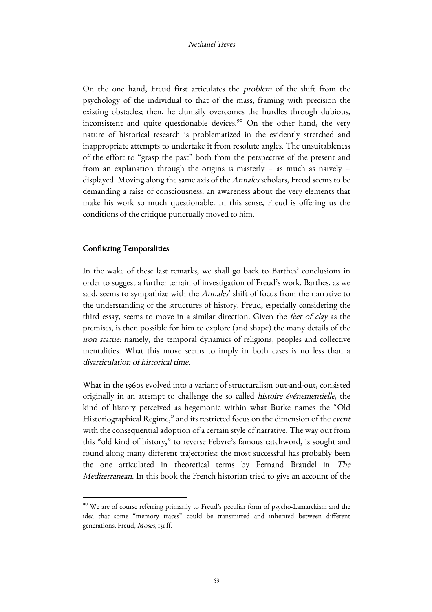On the one hand, Freud first articulates the problem of the shift from the psychology of the individual to that of the mass, framing with precision the existing obstacles; then, he clumsily overcomes the hurdles through dubious, inconsistent and quite questionable devices.<sup>90</sup> On the other hand, the very nature of historical research is problematized in the evidently stretched and inappropriate attempts to undertake it from resolute angles. The unsuitableness of the effort to "grasp the past" both from the perspective of the present and from an explanation through the origins is masterly – as much as naively – displayed. Moving along the same axis of the Annales scholars, Freud seems to be demanding a raise of consciousness, an awareness about the very elements that make his work so much questionable. In this sense, Freud is offering us the conditions of the critique punctually moved to him.

## Conflicting Temporalities

<u> 1989 - Johann Barn, mars ann an t-Amhain an t-Amhain an t-Amhain an t-Amhain an t-Amhain an t-Amhain an t-Amh</u>

In the wake of these last remarks, we shall go back to Barthes' conclusions in order to suggest a further terrain of investigation of Freud's work. Barthes, as we said, seems to sympathize with the Annales' shift of focus from the narrative to the understanding of the structures of history. Freud, especially considering the third essay, seems to move in a similar direction. Given the feet of clay as the premises, is then possible for him to explore (and shape) the many details of the iron statue: namely, the temporal dynamics of religions, peoples and collective mentalities. What this move seems to imply in both cases is no less than a disarticulation of historical time.

What in the 1960s evolved into a variant of structuralism out-and-out, consisted originally in an attempt to challenge the so called histoire événementielle, the kind of history perceived as hegemonic within what Burke names the "Old Historiographical Regime," and its restricted focus on the dimension of the event with the consequential adoption of a certain style of narrative. The way out from this "old kind of history," to reverse Febvre's famous catchword, is sought and found along many different trajectories: the most successful has probably been the one articulated in theoretical terms by Fernand Braudel in The Mediterranean. In this book the French historian tried to give an account of the

<sup>&</sup>lt;sup>90</sup> We are of course referring primarily to Freud's peculiar form of psycho-Lamarckism and the idea that some "memory traces" could be transmitted and inherited between different generations. Freud, Moses, 151 ff.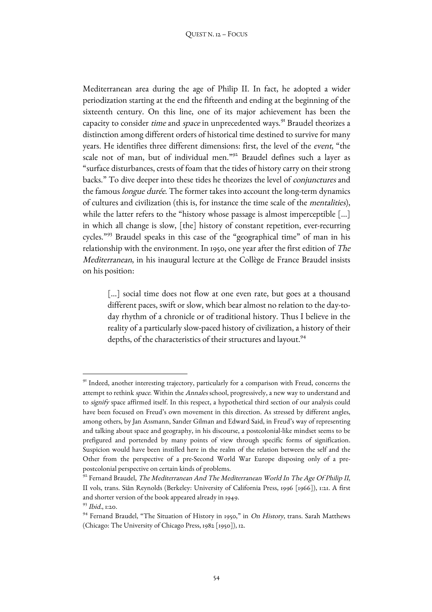Mediterranean area during the age of Philip II. In fact, he adopted a wider periodization starting at the end the fifteenth and ending at the beginning of the sixteenth century. On this line, one of its major achievement has been the capacity to consider *time* and *space* in unprecedented ways.<sup>91</sup> Braudel theorizes a distinction among different orders of historical time destined to survive for many years. He identifies three different dimensions: first, the level of the event, "the scale not of man, but of individual men."92 Braudel defines such a layer as "surface disturbances, crests of foam that the tides of history carry on their strong backs." To dive deeper into these tides he theorizes the level of conjunctures and the famous longue durée. The former takes into account the long-term dynamics of cultures and civilization (this is, for instance the time scale of the mentalities), while the latter refers to the "history whose passage is almost imperceptible [...] in which all change is slow, [the] history of constant repetition, ever-recurring cycles."<sup>93</sup> Braudel speaks in this case of the "geographical time" of man in his relationship with the environment. In 1950, one year after the first edition of The Mediterranean, in his inaugural lecture at the Collège de France Braudel insists on his position:

[...] social time does not flow at one even rate, but goes at a thousand different paces, swift or slow, which bear almost no relation to the day-today rhythm of a chronicle or of traditional history. Thus I believe in the reality of a particularly slow-paced history of civilization, a history of their depths, of the characteristics of their structures and layout.<sup>94</sup>

<sup>&</sup>lt;sup>91</sup> Indeed, another interesting trajectory, particularly for a comparison with Freud, concerns the attempt to rethink space. Within the Annales school, progressively, a new way to understand and to signify space affirmed itself. In this respect, a hypothetical third section of our analysis could have been focused on Freud's own movement in this direction. As stressed by different angles, among others, by Jan Assmann, Sander Gilman and Edward Said, in Freud's way of representing and talking about space and geography, in his discourse, a postcolonial-like mindset seems to be prefigured and portended by many points of view through specific forms of signification. Suspicion would have been instilled here in the realm of the relation between the self and the Other from the perspective of a pre-Second World War Europe disposing only of a prepostcolonial perspective on certain kinds of problems.

 $92$  Fernand Braudel, The Mediterranean And The Mediterranean World In The Age Of Philip II, II vols, trans. Siân Reynolds (Berkeley: University of California Press, 1996 [1966]), 1:21. A first and shorter version of the book appeared already in 1949.  $93$  *Ibid.*, 1:20.

<sup>&</sup>lt;sup>94</sup> Fernand Braudel, "The Situation of History in 1950," in On History, trans. Sarah Matthews (Chicago: The University of Chicago Press, 1982 [1950]), 12.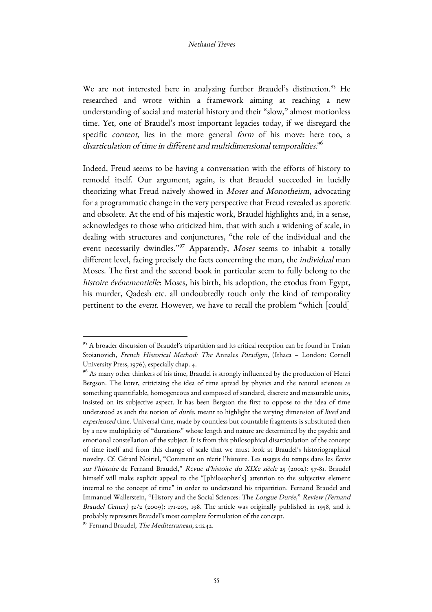We are not interested here in analyzing further Braudel's distinction.<sup>95</sup> He researched and wrote within a framework aiming at reaching a new understanding of social and material history and their "slow," almost motionless time. Yet, one of Braudel's most important legacies today, if we disregard the specific content, lies in the more general form of his move: here too, a disarticulation of time in different and multidimensional temporalities. $^{96}$ 

Indeed, Freud seems to be having a conversation with the efforts of history to remodel itself. Our argument, again, is that Braudel succeeded in lucidly theorizing what Freud naively showed in Moses and Monotheism, advocating for a programmatic change in the very perspective that Freud revealed as aporetic and obsolete. At the end of his majestic work, Braudel highlights and, in a sense, acknowledges to those who criticized him, that with such a widening of scale, in dealing with structures and conjunctures, "the role of the individual and the event necessarily dwindles."<sup>97</sup> Apparently, Moses seems to inhabit a totally different level, facing precisely the facts concerning the man, the individual man Moses. The first and the second book in particular seem to fully belong to the histoire événementielle: Moses, his birth, his adoption, the exodus from Egypt, his murder, Qadesh etc. all undoubtedly touch only the kind of temporality pertinent to the event. However, we have to recall the problem "which [could]

<sup>&</sup>lt;sup>95</sup> A broader discussion of Braudel's tripartition and its critical reception can be found in Traian Stoianovich, French Historical Method: The Annales Paradigm, (Ithaca – London: Cornell University Press, 1976), especially chap. 4.

<sup>&</sup>lt;sup>96</sup> As many other thinkers of his time, Braudel is strongly influenced by the production of Henri Bergson. The latter, criticizing the idea of time spread by physics and the natural sciences as something quantifiable, homogeneous and composed of standard, discrete and measurable units, insisted on its subjective aspect. It has been Bergson the first to oppose to the idea of time understood as such the notion of durée, meant to highlight the varying dimension of lived and experienced time. Universal time, made by countless but countable fragments is substituted then by a new multiplicity of "durations" whose length and nature are determined by the psychic and emotional constellation of the subject. It is from this philosophical disarticulation of the concept of time itself and from this change of scale that we must look at Braudel's historiographical novelty. Cf. Gérard Noiriel, "Comment on récrit l'histoire. Les usages du temps dans les Écrits sur l'histoire de Fernand Braudel," Revue d'histoire du XIXe siècle 25 (2002): 57-81. Braudel himself will make explicit appeal to the "[philosopher's] attention to the subjective element internal to the concept of time" in order to understand his tripartition. Fernand Braudel and Immanuel Wallerstein, "History and the Social Sciences: The Longue Durée," Review (Fernand Braudel Center)  $32/2$  (2009): 171-203, 198. The article was originally published in 1958, and it probably represents Braudel's most complete formulation of the concept.

<sup>97</sup> Fernand Braudel, The Mediterranean, 2:1242.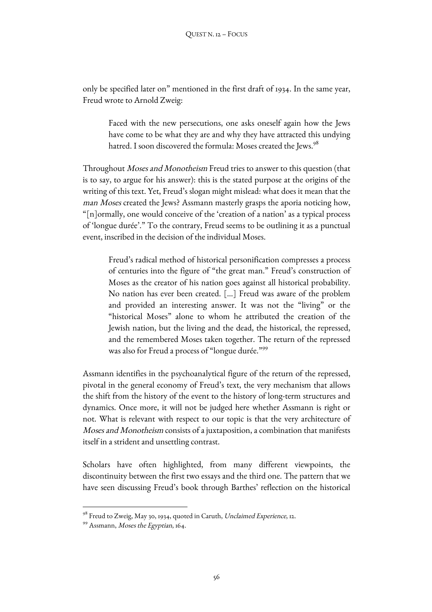only be specified later on" mentioned in the first draft of 1934. In the same year, Freud wrote to Arnold Zweig:

Faced with the new persecutions, one asks oneself again how the Jews have come to be what they are and why they have attracted this undying hatred. I soon discovered the formula: Moses created the Jews.<sup>98</sup>

Throughout *Moses and Monotheism* Freud tries to answer to this question (that is to say, to argue for his answer): this is the stated purpose at the origins of the writing of this text. Yet, Freud's slogan might mislead: what does it mean that the man Moses created the Jews? Assmann masterly grasps the aporia noticing how, "[n]ormally, one would conceive of the 'creation of a nation' as a typical process of 'longue durée'." To the contrary, Freud seems to be outlining it as a punctual event, inscribed in the decision of the individual Moses.

Freud's radical method of historical personification compresses a process of centuries into the figure of "the great man." Freud's construction of Moses as the creator of his nation goes against all historical probability. No nation has ever been created. […] Freud was aware of the problem and provided an interesting answer. It was not the "living" or the "historical Moses" alone to whom he attributed the creation of the Jewish nation, but the living and the dead, the historical, the repressed, and the remembered Moses taken together. The return of the repressed was also for Freud a process of "longue durée."99

Assmann identifies in the psychoanalytical figure of the return of the repressed, pivotal in the general economy of Freud's text, the very mechanism that allows the shift from the history of the event to the history of long-term structures and dynamics. Once more, it will not be judged here whether Assmann is right or not. What is relevant with respect to our topic is that the very architecture of Moses and Monotheism consists of a juxtaposition, a combination that manifests itself in a strident and unsettling contrast.

Scholars have often highlighted, from many different viewpoints, the discontinuity between the first two essays and the third one. The pattern that we have seen discussing Freud's book through Barthes' reflection on the historical

<u> 1989 - Johann Barn, mars eta bainar eta industrial eta baina eta baina eta baina eta baina eta baina eta bain</u>

<sup>&</sup>lt;sup>98</sup> Freud to Zweig, May 30, 1934, quoted in Caruth, *Unclaimed Experience*, 12.<br><sup>99</sup> Assmann, *Moses the Egyptian*, 164.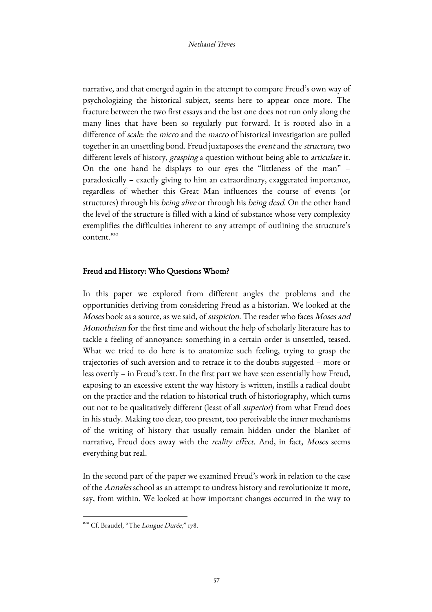narrative, and that emerged again in the attempt to compare Freud's own way of psychologizing the historical subject, seems here to appear once more. The fracture between the two first essays and the last one does not run only along the many lines that have been so regularly put forward. It is rooted also in a difference of *scale*: the *micro* and the *macro* of historical investigation are pulled together in an unsettling bond. Freud juxtaposes the event and the structure, two different levels of history, grasping a question without being able to articulate it. On the one hand he displays to our eyes the "littleness of the man" – paradoxically – exactly giving to him an extraordinary, exaggerated importance, regardless of whether this Great Man influences the course of events (or structures) through his *being alive* or through his *being dead*. On the other hand the level of the structure is filled with a kind of substance whose very complexity exemplifies the difficulties inherent to any attempt of outlining the structure's content.<sup>100</sup>

## Freud and History: Who Questions Whom?

In this paper we explored from different angles the problems and the opportunities deriving from considering Freud as a historian. We looked at the Moses book as a source, as we said, of *suspicion*. The reader who faces Moses and Monotheism for the first time and without the help of scholarly literature has to tackle a feeling of annoyance: something in a certain order is unsettled, teased. What we tried to do here is to anatomize such feeling, trying to grasp the trajectories of such aversion and to retrace it to the doubts suggested – more or less overtly – in Freud's text. In the first part we have seen essentially how Freud, exposing to an excessive extent the way history is written, instills a radical doubt on the practice and the relation to historical truth of historiography, which turns out not to be qualitatively different (least of all superior) from what Freud does in his study. Making too clear, too present, too perceivable the inner mechanisms of the writing of history that usually remain hidden under the blanket of narrative, Freud does away with the reality effect. And, in fact, Moses seems everything but real.

In the second part of the paper we examined Freud's work in relation to the case of the Annales school as an attempt to undress history and revolutionize it more, say, from within. We looked at how important changes occurred in the way to

<sup>&</sup>lt;u> 1989 - Johann Barn, mars ann an t-Amhain an t-Amhain an t-Amhain an t-Amhain an t-Amhain an t-Amhain an t-Amh</u> <sup>100</sup> Cf. Braudel, "The Longue Durée," 178.